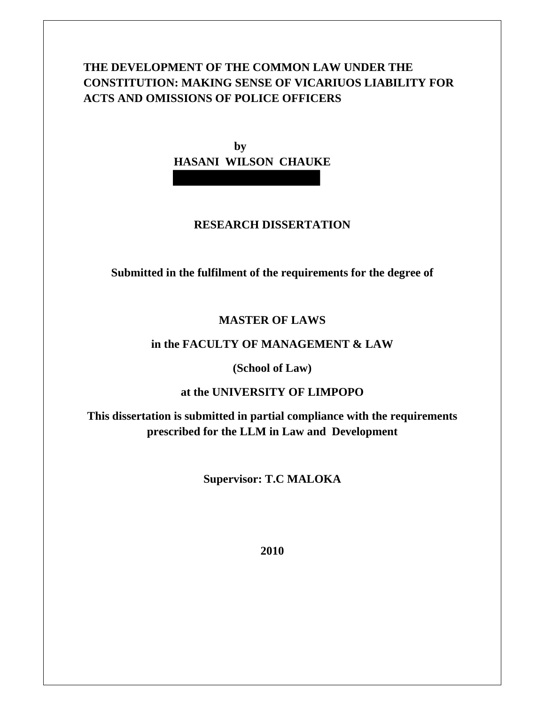# **THE DEVELOPMENT OF THE COMMON LAW UNDER THE CONSTITUTION: MAKING SENSE OF VICARIUOS LIABILITY FOR ACTS AND OMISSIONS OF POLICE OFFICERS**

**by HASANI WILSON CHAUKE** 

# **RESEARCH DISSERTATION**

**Submitted in the fulfilment of the requirements for the degree of** 

# **MASTER OF LAWS**

## **in the FACULTY OF MANAGEMENT & LAW**

**(School of Law)** 

### **at the UNIVERSITY OF LIMPOPO**

**This dissertation is submitted in partial compliance with the requirements prescribed for the LLM in Law and Development** 

**Supervisor: T.C MALOKA** 

**2010**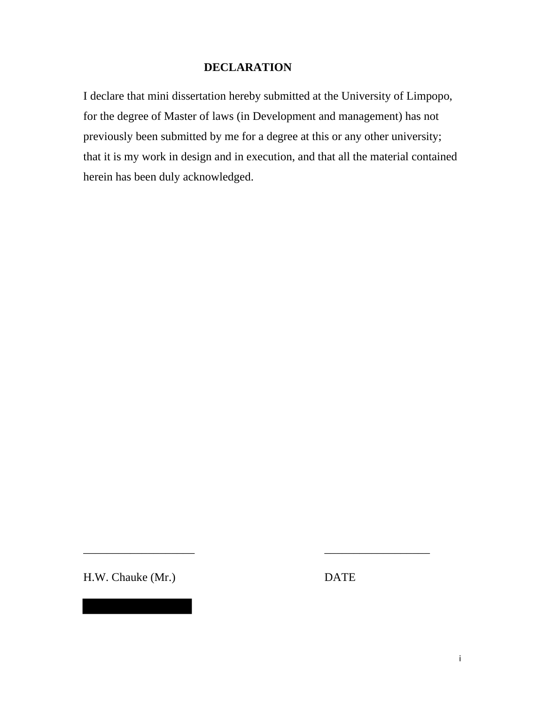# **DECLARATION**

I declare that mini dissertation hereby submitted at the University of Limpopo, for the degree of Master of laws (in Development and management) has not previously been submitted by me for a degree at this or any other university; that it is my work in design and in execution, and that all the material contained herein has been duly acknowledged.

H.W. Chauke (Mr.) DATE

\_\_\_\_\_\_\_\_\_\_\_\_\_\_\_\_\_\_\_ \_\_\_\_\_\_\_\_\_\_\_\_\_\_\_\_\_\_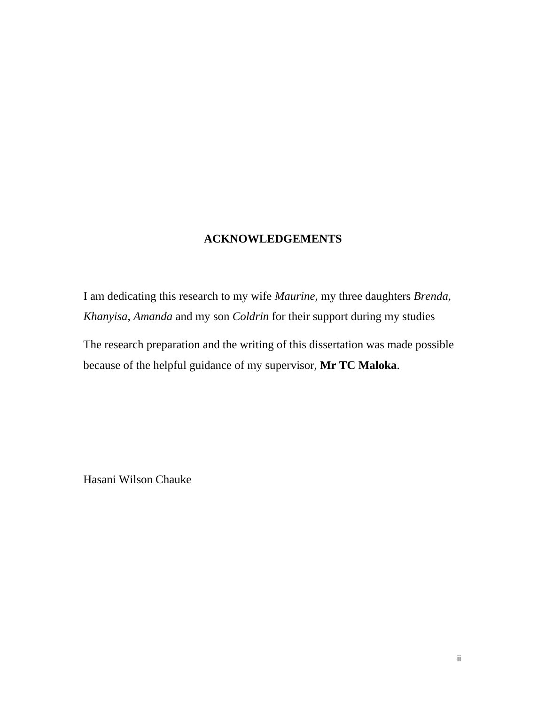# **ACKNOWLEDGEMENTS**

I am dedicating this research to my wife *Maurine*, my three daughters *Brenda*, *Khanyisa*, *Amanda* and my son *Coldrin* for their support during my studies

The research preparation and the writing of this dissertation was made possible because of the helpful guidance of my supervisor, **Mr TC Maloka**.

Hasani Wilson Chauke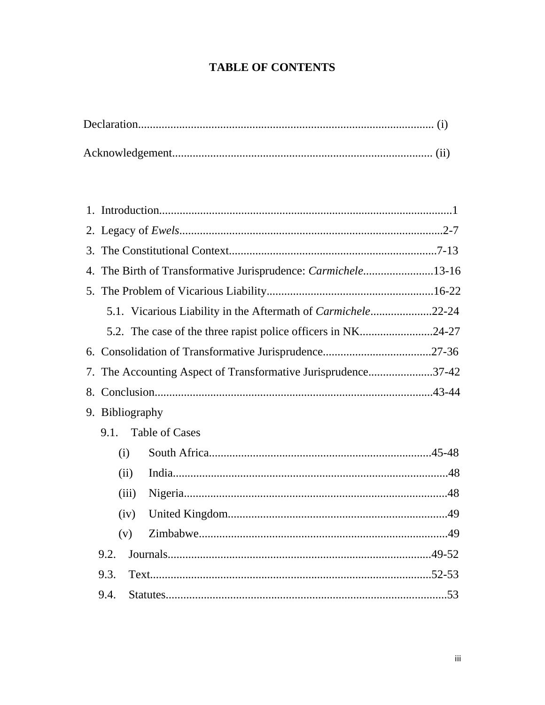# **TABLE OF CONTENTS**

| 3. |                                                              |                                                              |  |  |  |
|----|--------------------------------------------------------------|--------------------------------------------------------------|--|--|--|
| 4. | The Birth of Transformative Jurisprudence: Carmichele13-16   |                                                              |  |  |  |
|    |                                                              |                                                              |  |  |  |
|    | 5.1. Vicarious Liability in the Aftermath of Carmichele22-24 |                                                              |  |  |  |
|    |                                                              | 5.2. The case of the three rapist police officers in NK24-27 |  |  |  |
|    |                                                              |                                                              |  |  |  |
| 7. | The Accounting Aspect of Transformative Jurisprudence37-42   |                                                              |  |  |  |
|    |                                                              |                                                              |  |  |  |
|    | 9. Bibliography                                              |                                                              |  |  |  |
|    | 9.1. Table of Cases                                          |                                                              |  |  |  |
|    | (i)                                                          |                                                              |  |  |  |
|    | (ii)                                                         |                                                              |  |  |  |
|    | (iii)                                                        |                                                              |  |  |  |
|    | (iv)                                                         |                                                              |  |  |  |
|    | (v)                                                          |                                                              |  |  |  |
|    | 9.2.                                                         |                                                              |  |  |  |
|    | 9.3.                                                         |                                                              |  |  |  |
|    | 9.4.                                                         |                                                              |  |  |  |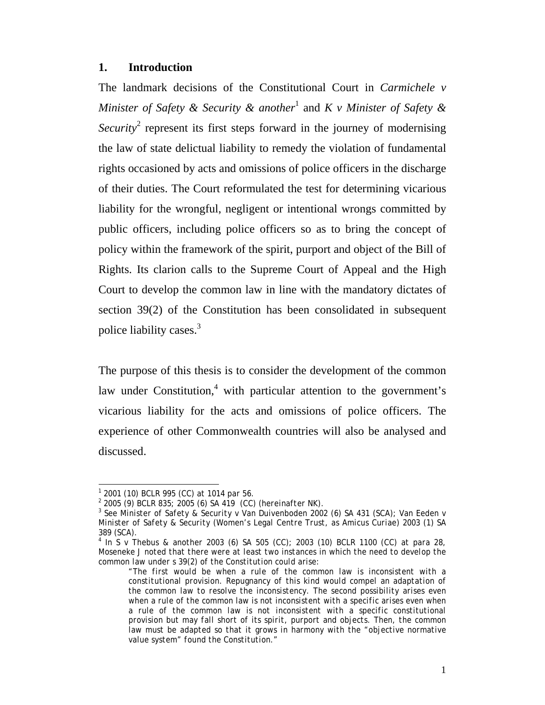#### **1. Introduction**

The landmark decisions of the Constitutional Court in *Carmichele v Minister of Safety & Security & another*<sup>1</sup> and *K v Minister of Safety &*  Security<sup>2</sup> represent its first steps forward in the journey of modernising the law of state delictual liability to remedy the violation of fundamental rights occasioned by acts and omissions of police officers in the discharge of their duties. The Court reformulated the test for determining vicarious liability for the wrongful, negligent or intentional wrongs committed by public officers, including police officers so as to bring the concept of policy within the framework of the spirit, purport and object of the Bill of Rights. Its clarion calls to the Supreme Court of Appeal and the High Court to develop the common law in line with the mandatory dictates of section 39(2) of the Constitution has been consolidated in subsequent police liability cases.<sup>3</sup>

The purpose of this thesis is to consider the development of the common law under Constitution, $4$  with particular attention to the government's vicarious liability for the acts and omissions of police officers. The experience of other Commonwealth countries will also be analysed and discussed.

l *1 2001 (10) BCLR 995 (CC) at 1014 par 56.* 

*<sup>2</sup> 2005 (9) BCLR 835; 2005 (6) SA 419 (CC) (hereinafter NK).* 

*<sup>3</sup> See Minister of Safety & Security v Van Duivenboden 2002 (6) SA 431 (SCA); Van Eeden v Minister of Safety & Security (Women's Legal Centre Trust, as Amicus Curiae) 2003 (1) SA 389 (SCA).* 

*<sup>4</sup> In S v Thebus & another 2003 (6) SA 505 (CC); 2003 (10) BCLR 1100 (CC) at para 28, Moseneke J noted that there were at least two instances in which the need to develop the common law under s 39(2) of the Constitution could arise:* 

*<sup>&</sup>quot;The first would be when a rule of the common law is inconsistent with a constitutional provision. Repugnancy of this kind would compel an adaptation of the common law to resolve the inconsistency. The second possibility arises even when a rule of the common law is not inconsistent with a specific arises even when a rule of the common law is not inconsistent with a specific constitutional provision but may fall short of its spirit, purport and objects. Then, the common*  law must be adapted so that it grows in harmony with the "objective normative *value system" found the Constitution."*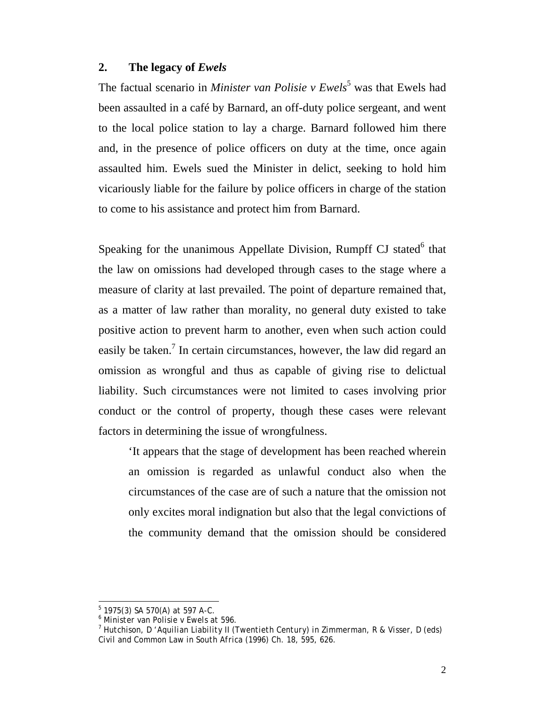#### **2. The legacy of** *Ewels*

The factual scenario in *Minister van Polisie v Ewels*<sup>5</sup> was that Ewels had been assaulted in a café by Barnard, an off-duty police sergeant, and went to the local police station to lay a charge. Barnard followed him there and, in the presence of police officers on duty at the time, once again assaulted him. Ewels sued the Minister in delict, seeking to hold him vicariously liable for the failure by police officers in charge of the station to come to his assistance and protect him from Barnard.

Speaking for the unanimous Appellate Division, Rumpff CJ stated<sup>6</sup> that the law on omissions had developed through cases to the stage where a measure of clarity at last prevailed. The point of departure remained that, as a matter of law rather than morality, no general duty existed to take positive action to prevent harm to another, even when such action could easily be taken.<sup>7</sup> In certain circumstances, however, the law did regard an omission as wrongful and thus as capable of giving rise to delictual liability. Such circumstances were not limited to cases involving prior conduct or the control of property, though these cases were relevant factors in determining the issue of wrongfulness.

'It appears that the stage of development has been reached wherein an omission is regarded as unlawful conduct also when the circumstances of the case are of such a nature that the omission not only excites moral indignation but also that the legal convictions of the community demand that the omission should be considered

 $\overline{a}$ 

*<sup>5</sup> 1975(3) SA 570(A) at 597 A-C.* 

*<sup>6</sup> Minister van Polisie v Ewels at 596.* 

*<sup>7</sup> Hutchison, D 'Aquilian Liability II (Twentieth Century) in Zimmerman, R & Visser, D (eds) Civil and Common Law in South Africa (1996) Ch. 18, 595, 626.*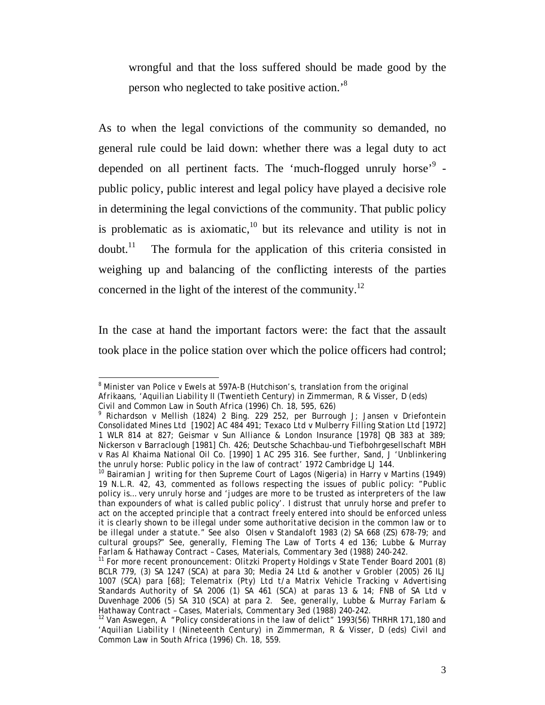wrongful and that the loss suffered should be made good by the person who neglected to take positive action.<sup>8</sup>

As to when the legal convictions of the community so demanded, no general rule could be laid down: whether there was a legal duty to act depended on all pertinent facts. The 'much-flogged unruly horse'<sup>9</sup> public policy, public interest and legal policy have played a decisive role in determining the legal convictions of the community. That public policy is problematic as is axiomatic, $10$  but its relevance and utility is not in  $d$ oubt.<sup>11</sup> The formula for the application of this criteria consisted in weighing up and balancing of the conflicting interests of the parties concerned in the light of the interest of the community.<sup>12</sup>

In the case at hand the important factors were: the fact that the assault took place in the police station over which the police officers had control;

 $\overline{a}$ *8 Minister van Police v Ewels at 597A-B (Hutchison's, translation from the original Afrikaans, 'Aquilian Liability II (Twentieth Century) in Zimmerman, R & Visser, D (eds) Civil and Common Law in South Africa (1996) Ch. 18, 595, 626)* 

*<sup>9</sup> Richardson v Mellish (1824) 2 Bing. 229 252, per Burrough J; Jansen v Driefontein Consolidated Mines Ltd [1902] AC 484 491; Texaco Ltd v Mulberry Filling Station Ltd [1972] 1 WLR 814 at 827; Geismar v Sun Alliance & London Insurance [1978] QB 383 at 389; Nickerson v Barraclough [1981] Ch. 426; Deutsche Schachbau-und Tiefbohrgesellschaft MBH v Ras Al Khaima National Oil Co. [1990] 1 AC 295 316. See further, Sand, J 'Unblinkering* 

<sup>&</sup>lt;sup>10</sup> Bairamian J writing for then Supreme Court of Lagos (Nigeria) in Harry v Martins (1949) *19 N.L.R. 42, 43, commented as follows respecting the issues of public policy: "Public policy is… very unruly horse and 'judges are more to be trusted as interpreters of the law than expounders of what is called public policy'. I distrust that unruly horse and prefer to act on the accepted principle that a contract freely entered into should be enforced unless it is clearly shown to be illegal under some authoritative decision in the common law or to be illegal under a statute." See also Olsen v Standaloft 1983 (2) SA 668 (ZS) 678-79; and cultural groups?" See, generally, Fleming The Law of Torts 4 ed 136; Lubbe & Murray Farlam & Hathaway Contract – Cases, Materials, Commentary 3ed (1988) 240-242.* 

*<sup>11</sup> For more recent pronouncement: Olitzki Property Holdings v State Tender Board 2001 (8) BCLR 779, (3) SA 1247 (SCA) at para 30; Media 24 Ltd & another v Grobler (2005) 26 ILJ 1007 (SCA) para [68]; Telematrix (Pty) Ltd t/a Matrix Vehicle Tracking v Advertising Standards Authority of SA 2006 (1) SA 461 (SCA) at paras 13 & 14; FNB of SA Ltd v Duvenhage 2006 (5) SA 310 (SCA) at para 2. See, generally, Lubbe & Murray Farlam & Hathaway Contract – Cases, Materials, Commentary 3ed (1988) 240-242.* 

*<sup>12</sup> Van Aswegen, A "Policy considerations in the law of delict" 1993(56) THRHR 171,180 and 'Aquilian Liability I (Nineteenth Century) in Zimmerman, R & Visser, D (eds) Civil and Common Law in South Africa (1996) Ch. 18, 559.*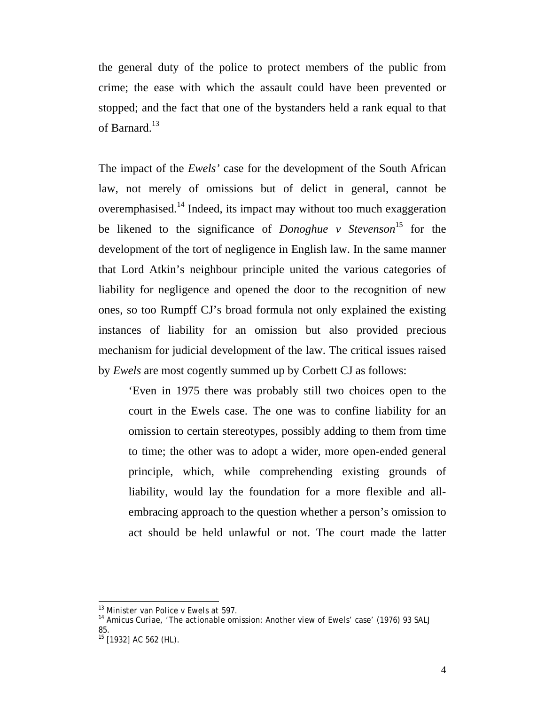the general duty of the police to protect members of the public from crime; the ease with which the assault could have been prevented or stopped; and the fact that one of the bystanders held a rank equal to that of Barnard.<sup>13</sup>

The impact of the *Ewels'* case for the development of the South African law, not merely of omissions but of delict in general, cannot be overemphasised.14 Indeed, its impact may without too much exaggeration be likened to the significance of *Donoghue v Stevenson*<sup>15</sup> for the development of the tort of negligence in English law. In the same manner that Lord Atkin's neighbour principle united the various categories of liability for negligence and opened the door to the recognition of new ones, so too Rumpff CJ's broad formula not only explained the existing instances of liability for an omission but also provided precious mechanism for judicial development of the law. The critical issues raised by *Ewels* are most cogently summed up by Corbett CJ as follows:

'Even in 1975 there was probably still two choices open to the court in the Ewels case. The one was to confine liability for an omission to certain stereotypes, possibly adding to them from time to time; the other was to adopt a wider, more open-ended general principle, which, while comprehending existing grounds of liability, would lay the foundation for a more flexible and allembracing approach to the question whether a person's omission to act should be held unlawful or not. The court made the latter

 $\overline{a}$ *13 Minister van Police v Ewels at 597.* 

*<sup>14</sup> Amicus Curiae, 'The actionable omission:* Another *view of Ewels' case' (1976) 93 SALJ 85.* 

*<sup>15 [1932]</sup> AC 562 (HL).*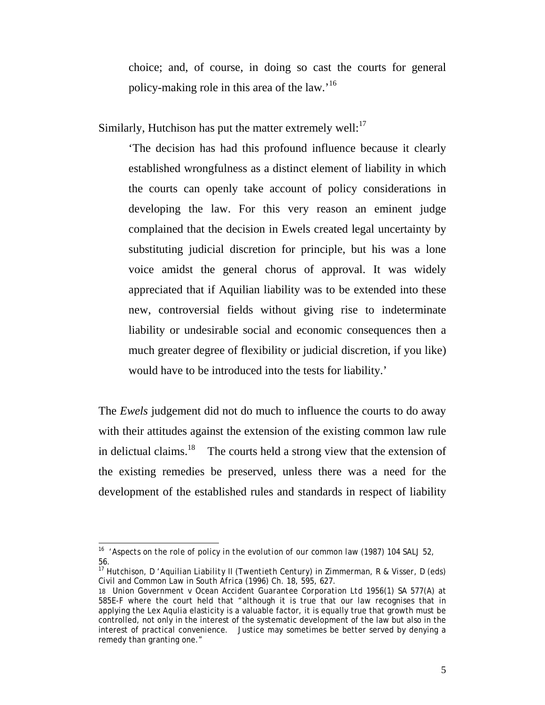choice; and, of course, in doing so cast the courts for general policy-making role in this area of the law.'<sup>16</sup>

Similarly, Hutchison has put the matter extremely well: $^{17}$ 

'The decision has had this profound influence because it clearly established wrongfulness as a distinct element of liability in which the courts can openly take account of policy considerations in developing the law. For this very reason an eminent judge complained that the decision in Ewels created legal uncertainty by substituting judicial discretion for principle, but his was a lone voice amidst the general chorus of approval. It was widely appreciated that if Aquilian liability was to be extended into these new, controversial fields without giving rise to indeterminate liability or undesirable social and economic consequences then a much greater degree of flexibility or judicial discretion, if you like) would have to be introduced into the tests for liability.'

The *Ewels* judgement did not do much to influence the courts to do away with their attitudes against the extension of the existing common law rule in delictual claims. $18$  The courts held a strong view that the extension of the existing remedies be preserved, unless there was a need for the development of the established rules and standards in respect of liability

 $\overline{a}$ *16 'Aspects on the role of policy in the evolution of our common law (1987) 104 SALJ 52, 56.* 

*<sup>17</sup> Hutchison, D 'Aquilian Liability II (Twentieth Century) in Zimmerman, R & Visser, D (eds) Civil and Common Law in South Africa (1996) Ch. 18, 595, 627.*

<sup>18</sup> *Union Government v Ocean Accident Guarantee Corporation Ltd* 1956(1) SA 577(A) at 585E-F where the court held that "although it is true that our law recognises that in applying the *Lex Aqulia* elasticity is a valuable factor, it is equally true that growth must be controlled, not only in the interest of the systematic development of the law but also in the interest of practical convenience. Justice may sometimes be better served by denying a remedy than granting one."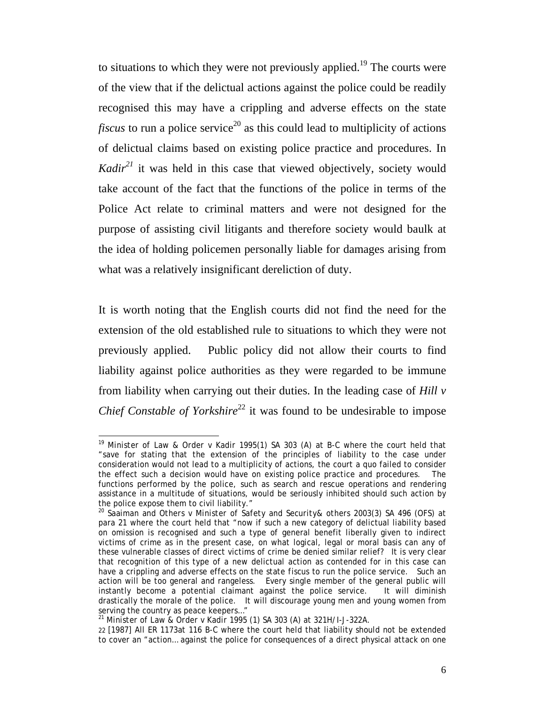to situations to which they were not previously applied.<sup>19</sup> The courts were of the view that if the delictual actions against the police could be readily recognised this may have a crippling and adverse effects on the state *fiscus* to run a police service<sup>20</sup> as this could lead to multiplicity of actions of delictual claims based on existing police practice and procedures. In *Kadir*<sup>21</sup> it was held in this case that viewed objectively, society would take account of the fact that the functions of the police in terms of the Police Act relate to criminal matters and were not designed for the purpose of assisting civil litigants and therefore society would baulk at the idea of holding policemen personally liable for damages arising from what was a relatively insignificant dereliction of duty.

It is worth noting that the English courts did not find the need for the extension of the old established rule to situations to which they were not previously applied. Public policy did not allow their courts to find liability against police authorities as they were regarded to be immune from liability when carrying out their duties. In the leading case of *Hill v Chief Constable of Yorkshire*<sup>22</sup> it was found to be undesirable to impose

l <sup>19</sup> *Minister of Law & Order v Kadir* 1995(1) SA 303 (A) at B-C where the court held that "save for stating that the extension of the principles of liability to the case under consideration would not lead to a multiplicity of actions, the court *a quo* failed to consider the effect such a decision would have on existing police practice and procedures. The functions performed by the police, such as search and rescue operations and rendering assistance in a multitude of situations, would be seriously inhibited should such action by the police expose them to civil liability."

<sup>&</sup>lt;sup>20</sup> Saaiman and Others v Minister of Safety and Security& others 2003(3) SA 496 (OFS) at para 21 where the court held that "now if such a new category of delictual liability based on omission is recognised and such a type of general benefit liberally given to indirect victims of crime as in the present case, on what logical, legal or moral basis can any of these vulnerable classes of direct victims of crime be denied similar relief? It is very clear that recognition of this type of a new delictual action as contended for in this case can have a crippling and adverse effects on the state *fiscus* to run the police service. Such an action will be too general and rangeless. Every single member of the general public will instantly become a potential claimant against the police service. It will diminish drastically the morale of the police. It will discourage young men and young women from serving the country as peace keepers…"

<sup>21</sup> *Minister of Law & Order v Kadir* 1995 (1) SA 303 (A) at 321H/I-J-322A.

<sup>22 [1987]</sup> All ER 1173at 116 B-C where the court held that liability should not be extended to cover an "action… against the police for consequences of a direct physical attack on one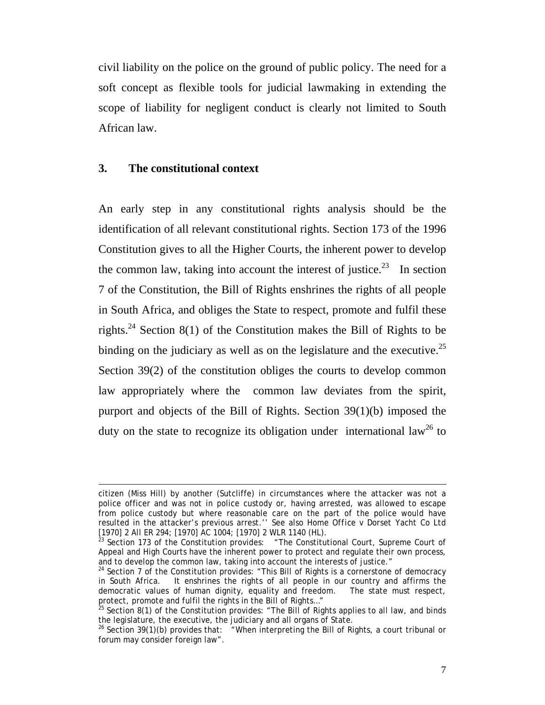civil liability on the police on the ground of public policy. The need for a soft concept as flexible tools for judicial lawmaking in extending the scope of liability for negligent conduct is clearly not limited to South African law.

### **3. The constitutional context**

l

An early step in any constitutional rights analysis should be the identification of all relevant constitutional rights. Section 173 of the 1996 Constitution gives to all the Higher Courts, the inherent power to develop the common law, taking into account the interest of justice.<sup>23</sup> In section 7 of the Constitution, the Bill of Rights enshrines the rights of all people in South Africa, and obliges the State to respect, promote and fulfil these rights.<sup>24</sup> Section 8(1) of the Constitution makes the Bill of Rights to be binding on the judiciary as well as on the legislature and the executive.<sup>25</sup> Section 39(2) of the constitution obliges the courts to develop common law appropriately where the common law deviates from the spirit, purport and objects of the Bill of Rights. Section 39(1)(b) imposed the duty on the state to recognize its obligation under international law<sup>26</sup> to

citizen (Miss Hill) by another (Sutcliffe) in circumstances where the attacker was not a police officer and was not in police custody or, having arrested, was allowed to escape from police custody but where reasonable care on the part of the police would have resulted in the attacker's previous arrest.'' See also *Home Office v Dorset Yacht Co Ltd* [1970] 2 All ER 294; [1970] AC 1004; [1970] 2 WLR 1140 (HL).

 $^{23}$  Section 173 of the Constitution provides: "The Constitutional Court, Supreme Court of Appeal and High Courts have the inherent power to protect and regulate their own process, and to develop the common law, taking into account the interests of justice."<br><sup>24</sup> Section 7 of the Constitution provides: "This Bill of Rights is a cornerstone of democracy

in South Africa. It enshrines the rights of all people in our country and affirms the democratic values of human dignity, equality and freedom. The state must respect, protect, promote and fulfil the rights in the Bill of Rights..."<br><sup>25</sup> Section 8(1) of the Constitution provides: "The Bill of Rights applies to all law, and binds

the legislature, the executive, the judiciary and all organs of State.

<sup>&</sup>lt;sup>26</sup> Section 39(1)(b) provides that: "When interpreting the Bill of Rights, a court tribunal or forum may consider foreign law".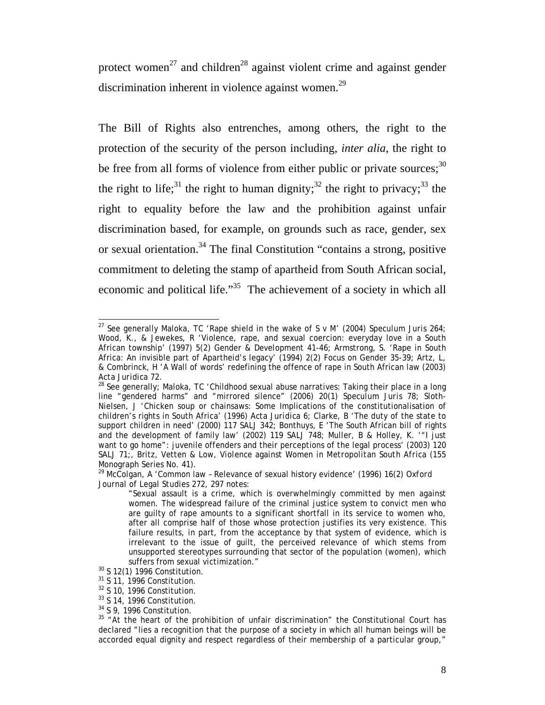protect women<sup>27</sup> and children<sup>28</sup> against violent crime and against gender discrimination inherent in violence against women.<sup>29</sup>

The Bill of Rights also entrenches, among others, the right to the protection of the security of the person including, *inter alia*, the right to be free from all forms of violence from either public or private sources;  $30$ the right to life;<sup>31</sup> the right to human dignity;<sup>32</sup> the right to privacy;<sup>33</sup> the right to equality before the law and the prohibition against unfair discrimination based, for example, on grounds such as race, gender, sex or sexual orientation.<sup>34</sup> The final Constitution "contains a strong, positive commitment to deleting the stamp of apartheid from South African social, economic and political life.<sup>35</sup> The achievement of a society in which all

 $\overline{a}$ 27 See generally Maloka, TC 'Rape shield in the wake of *S v M'* (2004) *Speculum Juris* 264; Wood, K., & Jewekes, R 'Violence, rape, and sexual coercion: everyday love in a South African township' (1997) 5(2) *Gender & Development* 41-46; Armstrong, S. 'Rape in South Africa: An invisible part of Apartheid's legacy' (1994) 2(2) *Focus on Gender* 35-39; Artz, L, & Combrinck, H 'A Wall of words' redefining the offence of rape in South African law (2003)

<sup>&</sup>lt;sup>28</sup> See generally; Maloka, TC 'Childhood sexual abuse narratives: Taking their place in a long line "gendered harms" and "mirrored silence" (2006) 20(1) *Speculum Juris* 78; Sloth-Nielsen, J 'Chicken soup or chainsaws: Some Implications of the constitutionalisation of children's rights in South Africa' (1996) *Acta Juridica* 6; Clarke, B 'The duty of the state to support children in need' (2000) 117 *SALJ* 342; Bonthuys, E 'The South African bill of rights and the development of family law' (2002) 119 *SALJ* 748; Muller, B & Holley, K. '"I just want to go home": juvenile offenders and their perceptions of the legal process' (2003) 120 *SALJ* 71;, Britz, Vetten & Low, *Violence against Women in Metropolitan South Africa* (155 Monograph Series No. 41).

<sup>29</sup> McColgan, A 'Common law – Relevance of sexual history evidence' (1996) 16(2) *Oxford Journal of Legal Studies* 272, 297 notes:

*<sup>&</sup>quot;*Sexual assault is a crime, which is overwhelmingly committed by men against women. The widespread failure of the criminal justice system to convict men who are guilty of rape amounts to a significant shortfall in its service to women who, after all comprise half of those whose protection justifies its very existence. This failure results, in part, from the acceptance by that system of evidence, which is irrelevant to the issue of guilt, the perceived relevance of which stems from unsupported stereotypes surrounding that sector of the population (women), which suffers from sexual victimization."<br><sup>30</sup> S 12(1) 1996 Constitution.

 $31$  S 11, 1996 Constitution.

<sup>32</sup> S 10, 1996 Constitution.

<sup>33</sup> S 14, 1996 Constitution.

<sup>34</sup> S 9, 1996 Constitution.

 $35$  "At the heart of the prohibition of unfair discrimination" the Constitutional Court has declared "lies a recognition that the purpose of a society in which all human beings will be accorded equal dignity and respect regardless of their membership of a particular group,"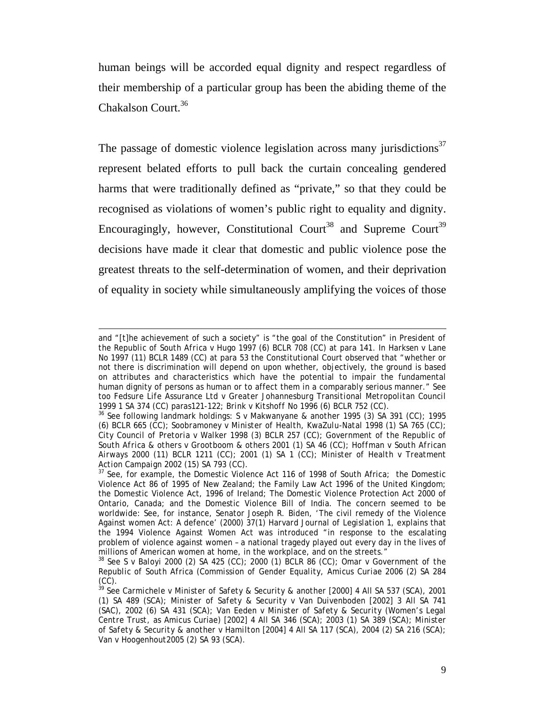human beings will be accorded equal dignity and respect regardless of their membership of a particular group has been the abiding theme of the Chakalson Court.<sup>36</sup>

The passage of domestic violence legislation across many jurisdictions<sup>37</sup> represent belated efforts to pull back the curtain concealing gendered harms that were traditionally defined as "private," so that they could be recognised as violations of women's public right to equality and dignity. Encouragingly, however, Constitutional Court<sup>38</sup> and Supreme Court<sup>39</sup> decisions have made it clear that domestic and public violence pose the greatest threats to the self-determination of women, and their deprivation of equality in society while simultaneously amplifying the voices of those

l and "[t]he achievement of such a society" is "the goal of the Constitution" in *President of the Republic of South Africa v Hugo* 1997 (6) BCLR 708 (CC) at para 141. In *Harksen v Lane No* 1997 (11) BCLR 1489 (CC) at para 53 the Constitutional Court observed that "whether or not there is discrimination will depend on upon whether, objectively, the ground is based on attributes and characteristics which have the potential to impair the fundamental human dignity of persons as human or to affect them in a comparably serious manner." See too *Fedsure Life Assurance Ltd v Greater Johannesburg Transitional Metropolitan Council*

<sup>1999 1</sup> SA 374 (CC) paras121-122; *Brink v Kitshoff No* 1996 (6) BCLR 752 (CC).<br><sup>36</sup> See following landmark holdings: *S v Makwanyane & another* 1995 (3) SA 391 (CC); 1995 (6) BCLR 665 (CC)*; Soobramoney v Minister of Health, KwaZulu-Natal* 1998 (1) SA 765 (CC); *City Council of Pretoria v Walker* 1998 (3) BCLR 257 (CC); *Government of the Republic of South Africa & others v Grootboom & others* 2001 (1) SA 46 (CC); *Hoffman v South African Airways* 2000 (11) BCLR 1211 (CC); 2001 (1) SA 1 (CC); *Minister of Health v Treatment* 

<sup>&</sup>lt;sup>37</sup> See, for example, the Domestic Violence Act 116 of 1998 of South Africa; the Domestic Violence Act 86 of 1995 of New Zealand; the Family Law Act 1996 of the United Kingdom; the Domestic Violence Act, 1996 of Ireland; The Domestic Violence Protection Act 2000 of Ontario, Canada; and the Domestic Violence Bill of India. The concern seemed to be worldwide: See, for instance, Senator Joseph R. Biden, 'The civil remedy of the Violence Against women Act: A defence' (2000) 37(1) *Harvard Journal of Legislation* 1, explains that the 1994 Violence Against Women Act was introduced "in response to the escalating problem of violence against women – a national tragedy played out every day in the lives of millions of American women at home, in the workplace, and on the streets."

<sup>38</sup> See *S v Baloyi* 2000 (2) SA 425 (CC); 2000 (1) BCLR 86 (CC); *Omar v Government of the Republic of South Africa (Commission of Gender Equality, Amicus Curiae* 2006 (2) SA 284 (CC).

<sup>39</sup> See *Carmichele v Minister of Safety & Security & another* [2000] 4 All SA 537 (SCA), 2001 (1) SA 489 (SCA); *Minister of Safety & Security v Van Duivenboden* [2002] 3 All SA 741 (SAC), 2002 (6) SA 431 (SCA); *Van Eeden v Minister of Safety & Security (Women's Legal Centre Trust,* as Amicus Curiae) [2002] 4 All SA 346 (SCA); 2003 (1) SA 389 (SCA); *Minister of Safety & Security & another v Hamilton* [2004] 4 All SA 117 (SCA), 2004 (2) SA 216 (SCA); *Van v Hoogenhout*2005 (2) SA 93 (SCA).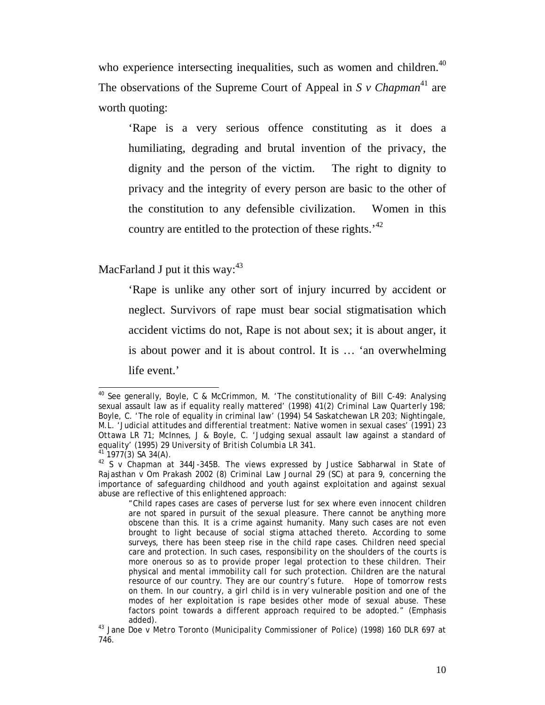who experience intersecting inequalities, such as women and children.<sup>40</sup> The observations of the Supreme Court of Appeal in  $S$  v Chapman<sup>41</sup> are worth quoting:

'Rape is a very serious offence constituting as it does a humiliating, degrading and brutal invention of the privacy, the dignity and the person of the victim. The right to dignity to privacy and the integrity of every person are basic to the other of the constitution to any defensible civilization. Women in this country are entitled to the protection of these rights.<sup>42</sup>

MacFarland J put it this way: $43$ 

'Rape is unlike any other sort of injury incurred by accident or neglect. Survivors of rape must bear social stigmatisation which accident victims do not, Rape is not about sex; it is about anger, it is about power and it is about control. It is … 'an overwhelming life event.'

 $\overline{a}$ <sup>40</sup> See generally, Boyle, C & McCrimmon, M. 'The constitutionality of Bill C-49: Analysing sexual assault law as if equality really mattered' (1998) 41(2) *Criminal Law Quarterly* 198; Boyle, C. 'The role of equality in criminal law' (1994) 54 *Saskatchewan LR* 203; Nightingale, M.L. 'Judicial attitudes and differential treatment: Native women in sexual cases' (1991) 23 *Ottawa LR* 71; McInnes, J & Boyle, C. 'Judging sexual assault law against a standard of equality' (1995) 29 *University of British Columbia LR* 341. 41 1977(3) SA 34(A).

<sup>42</sup> *S v Chapman* at 344J-345B. The views expressed by Justice Sabharwal in *State of Rajasthan v Om Prakash* 2002 (8) *Criminal Law Journal* 29 (SC) at para 9, concerning the importance of safeguarding childhood and youth against exploitation and against sexual abuse are reflective of this enlightened approach:

<sup>&</sup>quot;Child rapes cases are cases of perverse lust for sex where even innocent children are not spared in pursuit of the sexual pleasure. There cannot be anything more obscene than this. *It is a crime against humanity.* Many such cases are not even brought to light because of social stigma attached thereto. According to some surveys, there has been steep rise in the child rape cases. *Children need special care and protection. In such cases, responsibility on the shoulders of the courts is more onerous so as to provide proper legal protection to these children. Their physical and mental immobility call for such protection. Children are the natural resource of our country. They are our country's future. Hope of tomorrow rests on them. In our country, a girl child is in very vulnerable position and one of the modes of her exploitation is rape besides other mode of sexual abuse.* These factors point towards a different approach required to be adopted." (Emphasis

added). 43 *Jane Doe v Metro Toronto (Municipality Commissioner of Police*) (1998) 160 DLR 697 at 746.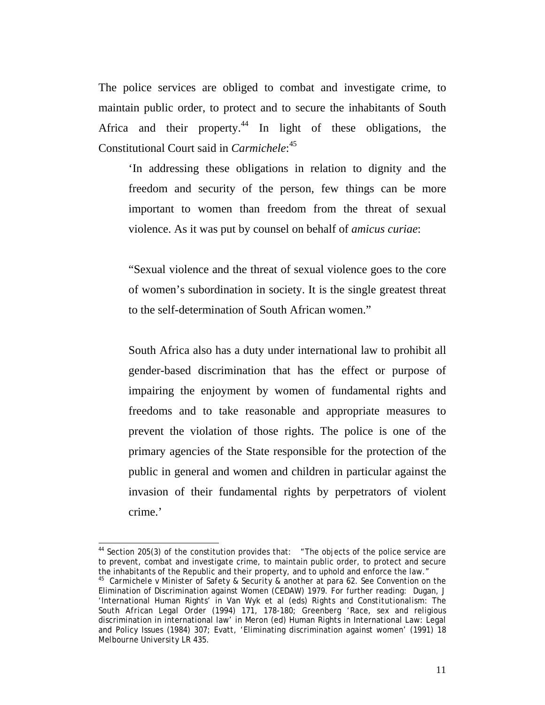The police services are obliged to combat and investigate crime, to maintain public order, to protect and to secure the inhabitants of South Africa and their property.<sup>44</sup> In light of these obligations, the Constitutional Court said in *Carmichele*: 45

'In addressing these obligations in relation to dignity and the freedom and security of the person, few things can be more important to women than freedom from the threat of sexual violence. As it was put by counsel on behalf of *amicus curiae*:

"Sexual violence and the threat of sexual violence goes to the core of women's subordination in society. It is the single greatest threat to the self-determination of South African women."

South Africa also has a duty under international law to prohibit all gender-based discrimination that has the effect or purpose of impairing the enjoyment by women of fundamental rights and freedoms and to take reasonable and appropriate measures to prevent the violation of those rights. The police is one of the primary agencies of the State responsible for the protection of the public in general and women and children in particular against the invasion of their fundamental rights by perpetrators of violent crime.'

 $\overline{a}$ 

<sup>&</sup>lt;sup>44</sup> Section 205(3) of the constitution provides that:  $\pi$  <sup>+</sup>The objects of the police service are to prevent, combat and investigate crime, to maintain public order, to protect and secure the inhabitants of the Republic and their property, and to uphold and enforce the law." 45 *Carmichele v Minister of Safety & Security & another* at para 62. See Convention on the

Elimination of Discrimination against Women (CEDAW) 1979. For further reading: Dugan, J 'International Human Rights' in Van Wyk *et al* (eds) *Rights and Constitutionalism: The South African Legal Order* (1994) 171, 178-180; Greenberg 'Race, sex and religious discrimination in international law' in Meron (ed) Human Rights in International Law: Legal and Policy Issues (1984) 307; Evatt, 'Eliminating discrimination against women' (1991) 18 *Melbourne University LR* 435.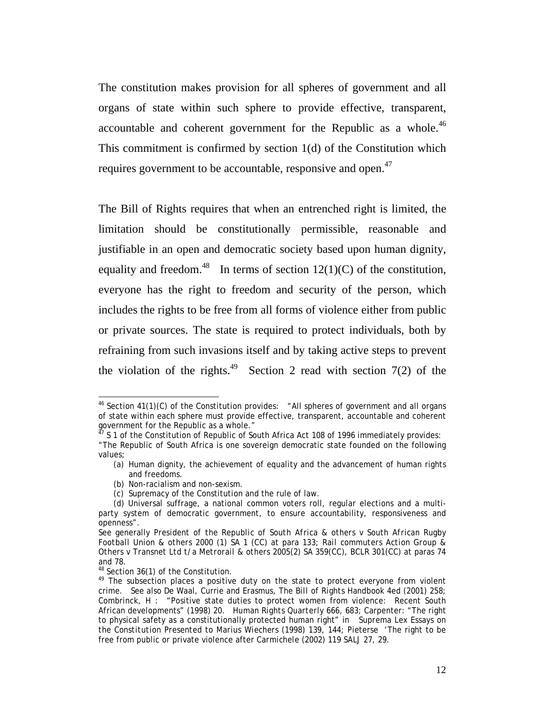The constitution makes provision for all spheres of government and all organs of state within such sphere to provide effective, transparent, accountable and coherent government for the Republic as a whole.<sup>46</sup> This commitment is confirmed by section 1(d) of the Constitution which requires government to be accountable, responsive and open.<sup>47</sup>

The Bill of Rights requires that when an entrenched right is limited, the limitation should be constitutionally permissible, reasonable and justifiable in an open and democratic society based upon human dignity, equality and freedom.<sup>48</sup> In terms of section  $12(1)(C)$  of the constitution, everyone has the right to freedom and security of the person, which includes the rights to be free from all forms of violence either from public or private sources. The state is required to protect individuals, both by refraining from such invasions itself and by taking active steps to prevent the violation of the rights.<sup>49</sup> Section 2 read with section 7(2) of the

<sup>&</sup>lt;sup>46</sup> Section 41(1)(C) of the Constitution provides:  $\mu$  and spheres of government and all organs of state within each sphere must provide effective, transparent, accountable and coherent government for the Republic as a whole."

 $^{17}$  S 1 of the Constitution of Republic of South Africa Act 108 of 1996 immediately provides:

<sup>&</sup>quot;The Republic of South Africa is one sovereign democratic state founded on the following values;

<sup>(</sup>a) Human dignity, the achievement of equality and the advancement of human rights and freedoms.

<sup>(</sup>b) Non-racialism and non-sexism.

<sup>(</sup>c) Supremacy of the Constitution and the rule of law.

<sup>(</sup>d) Universal suffrage, a national common voters roll, regular elections and a multiparty system of democratic government, to ensure accountability, responsiveness and openness".

See generally *President of the Republic of South Africa & others v South African Rugby Football Union & others* 2000 (1) SA 1 (CC) at para 133; *Rail commuters Action Group & Others v Transnet Ltd t/a Metrorail & others* 2005(2) SA 359(CC), BCLR 301(CC) at paras 74 and 78.

<sup>48</sup> Section 36(1) of the Constitution.

<sup>49</sup> The subsection places a positive duty on the state to protect everyone from violent crime. See also De Waal, Currie and Erasmus, *The Bill of Rights Handbook* 4ed (2001) 258; Combrinck, H : "Positive state duties to protect women from violence: Recent South African developments" (1998) 20. *Human Rights Quarterly* 666, 683; Carpenter: "The right to physical safety as a constitutionally protected human right" in *Suprema Lex Essays on the Constitution Presented to Marius Wiechers* (1998) 139, 144; Pieterse 'The right to be free from public or private violence after *Carmichele* (2002) 119 *SALJ* 27, 29.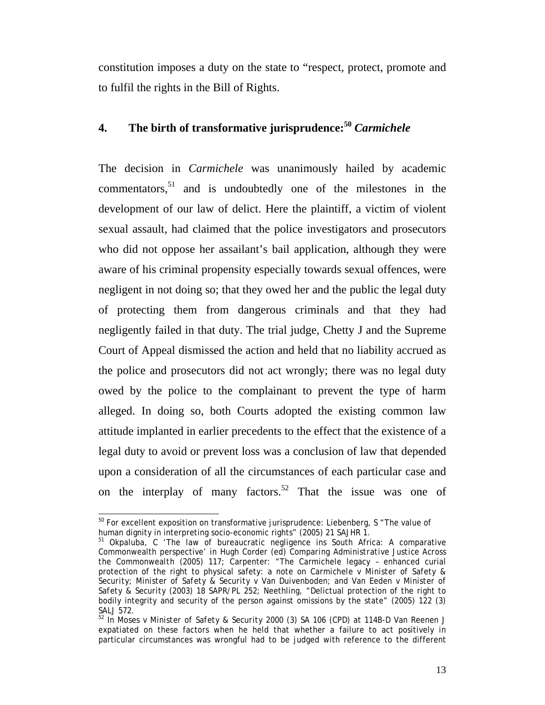constitution imposes a duty on the state to "respect, protect, promote and to fulfil the rights in the Bill of Rights.

# **4. The birth of transformative jurisprudence:<sup>50</sup>** *Carmichele*

The decision in *Carmichele* was unanimously hailed by academic commentators,<sup>51</sup> and is undoubtedly one of the milestones in the development of our law of delict. Here the plaintiff, a victim of violent sexual assault, had claimed that the police investigators and prosecutors who did not oppose her assailant's bail application, although they were aware of his criminal propensity especially towards sexual offences, were negligent in not doing so; that they owed her and the public the legal duty of protecting them from dangerous criminals and that they had negligently failed in that duty. The trial judge, Chetty J and the Supreme Court of Appeal dismissed the action and held that no liability accrued as the police and prosecutors did not act wrongly; there was no legal duty owed by the police to the complainant to prevent the type of harm alleged. In doing so, both Courts adopted the existing common law attitude implanted in earlier precedents to the effect that the existence of a legal duty to avoid or prevent loss was a conclusion of law that depended upon a consideration of all the circumstances of each particular case and on the interplay of many factors.<sup>52</sup> That the issue was one of

 $50$  For excellent exposition on transformative jurisprudence: Liebenberg, S "The value of human dignity in interpreting socio-economic rights" (2005) 21 SAJHR 1.

<sup>&</sup>lt;sup>51</sup> Okpaluba, C 'The law of bureaucratic negligence ins South Africa: A comparative Commonwealth perspective' in Hugh Corder (ed) *Comparing Administrative Justice Across the Commonwealth* (2005) 117; Carpenter: "The Carmichele legacy – enhanced curial protection of the right to physical safety: a note on *Carmichele v Minister of Safety & Security; Minister of Safety & Security v Van Duivenboden; and Van Eeden v Minister of Safety & Security* (2003) 18 *SAPR/PL* 252; Neethling, "Delictual protection of the right to bodily integrity and security of the person against omissions by the state" (2005) 122 (3)

*SALJ* 572.<br><sup>52</sup> In *Moses v Minister of Safety & Security* 2000 (3) SA 106 (CPD) at 114B-D Van Reenen J expatiated on these factors when he held that whether a failure to act positively in particular circumstances was wrongful had to be judged with reference to the different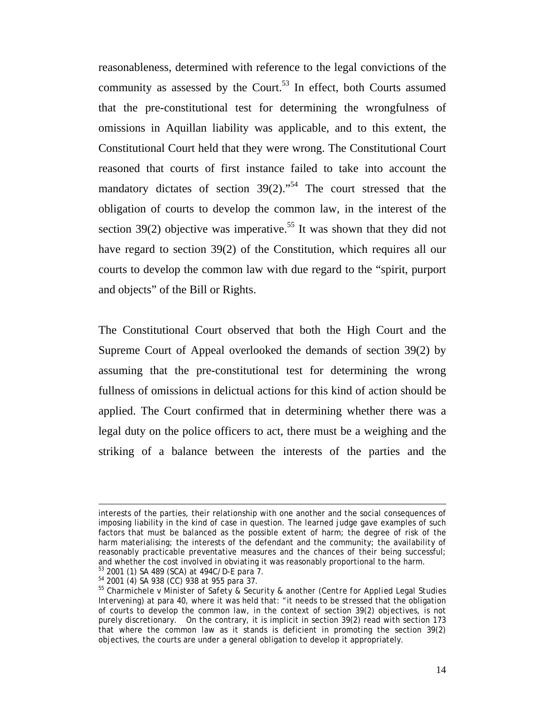reasonableness, determined with reference to the legal convictions of the community as assessed by the Court.<sup>53</sup> In effect, both Courts assumed that the pre-constitutional test for determining the wrongfulness of omissions in Aquillan liability was applicable, and to this extent, the Constitutional Court held that they were wrong. The Constitutional Court reasoned that courts of first instance failed to take into account the mandatory dictates of section  $39(2)$ ."<sup>54</sup> The court stressed that the obligation of courts to develop the common law, in the interest of the section 39(2) objective was imperative.<sup>55</sup> It was shown that they did not have regard to section 39(2) of the Constitution, which requires all our courts to develop the common law with due regard to the "spirit, purport and objects" of the Bill or Rights.

The Constitutional Court observed that both the High Court and the Supreme Court of Appeal overlooked the demands of section 39(2) by assuming that the pre-constitutional test for determining the wrong fullness of omissions in delictual actions for this kind of action should be applied. The Court confirmed that in determining whether there was a legal duty on the police officers to act, there must be a weighing and the striking of a balance between the interests of the parties and the

interests of the parties, their relationship with one another and the social consequences of imposing liability in the kind of case in question. The learned judge gave examples of such factors that must be balanced as the possible extent of harm; the degree of risk of the harm materialising; the interests of the defendant and the community; the availability of reasonably practicable preventative measures and the chances of their being successful; and whether the cost involved in obviating it was reasonably proportional to the harm.<br><sup>53</sup> 2001 (1) SA 489 (SCA) at 494C/D-E para 7.

<sup>54 2001 (4)</sup> SA 938 (CC) 938 at 955 para 37.

<sup>55</sup> *Charmichele v Minister of Safety & Security & another (Centre for Applied Legal Studies Intervening)* at para 40, where it was held that: "it needs to be stressed that the obligation of courts to develop the common law, in the context of section 39(2) objectives, is not purely discretionary. On the contrary, it is implicit in section 39(2) read with section 173 that where the common law as it stands is deficient in promoting the section 39(2) objectives, the courts are under a general obligation to develop it appropriately.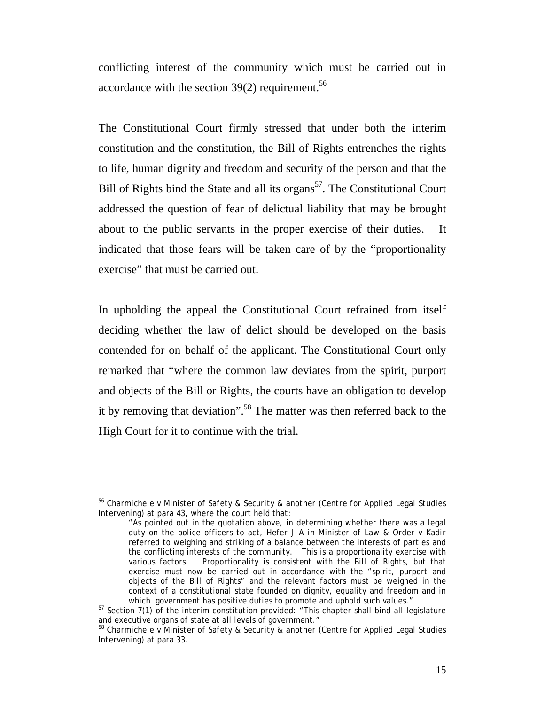conflicting interest of the community which must be carried out in accordance with the section  $39(2)$  requirement.<sup>56</sup>

The Constitutional Court firmly stressed that under both the interim constitution and the constitution, the Bill of Rights entrenches the rights to life, human dignity and freedom and security of the person and that the Bill of Rights bind the State and all its organs<sup>57</sup>. The Constitutional Court addressed the question of fear of delictual liability that may be brought about to the public servants in the proper exercise of their duties. It indicated that those fears will be taken care of by the "proportionality exercise" that must be carried out.

In upholding the appeal the Constitutional Court refrained from itself deciding whether the law of delict should be developed on the basis contended for on behalf of the applicant. The Constitutional Court only remarked that "where the common law deviates from the spirit, purport and objects of the Bill or Rights, the courts have an obligation to develop it by removing that deviation".58 The matter was then referred back to the High Court for it to continue with the trial.

<sup>56</sup> *Charmichele v Minister of Safety & Security & another (Centre for Applied Legal Studies Intervening)* at para 43, where the court held that:

<sup>&</sup>quot;As pointed out in the quotation above, in determining whether there was a legal duty on the police officers to act, Hefer J A *in Minister of Law & Order v Kadir* referred to weighing and striking of a balance between the interests of parties and the conflicting interests of the community. This is a proportionality exercise with various factors. Proportionality is consistent with the Bill of Rights, but that exercise must now be carried out in accordance with the "spirit, purport and objects of the Bill of Rights" and the relevant factors must be weighed in the context of a constitutional state founded on dignity, equality and freedom and in which government has positive duties to promote and uphold such values."

 $57$  Section 7(1) of the interim constitution provided: "This chapter shall bind all legislature<br>and executive organs of state at all levels of government."

 $58$  Charmichele v Minister of Safety & Security & another (Centre for Applied Legal Studies *Intervening)* at para 33.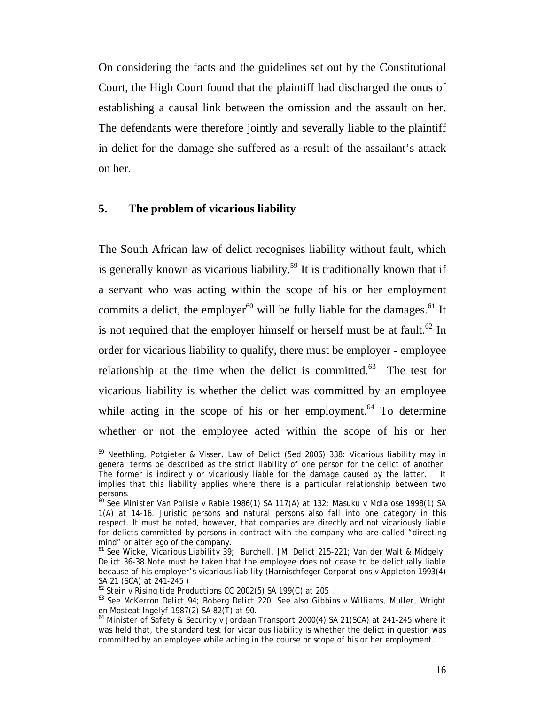On considering the facts and the guidelines set out by the Constitutional Court, the High Court found that the plaintiff had discharged the onus of establishing a causal link between the omission and the assault on her. The defendants were therefore jointly and severally liable to the plaintiff in delict for the damage she suffered as a result of the assailant's attack on her.

#### **5. The problem of vicarious liability**

The South African law of delict recognises liability without fault, which is generally known as vicarious liability.<sup>59</sup> It is traditionally known that if a servant who was acting within the scope of his or her employment commits a delict, the employer $60$  will be fully liable for the damages. $61$  It is not required that the employer himself or herself must be at fault.<sup>62</sup> In order for vicarious liability to qualify, there must be employer - employee relationship at the time when the delict is committed. $63$  The test for vicarious liability is whether the delict was committed by an employee while acting in the scope of his or her employment. $64$  To determine whether or not the employee acted within the scope of his or her

 $\overline{a}$ 

<sup>59</sup> Neethling, Potgieter & Visser, *Law of Delict* (5ed 2006) 338: Vicarious liability may in general terms be described as the strict liability of one person for the delict of another. The former is indirectly or vicariously liable for the damage caused by the latter. It implies that this liability applies where there is a particular relationship between two persons.

<sup>60</sup> See *Minister Van Polisie v Rabie* 1986(1) SA 117(A) at 132; *Masuku v Mdlalose* 1998(1) SA 1(A) at 14-16. Juristic persons and natural persons also fall into one category in this respect. It must be noted, however, that companies are directly and not vicariously liable for delicts committed by persons in contract with the company who are called "directing mind" or *alter ego* of the company.<br><sup>61</sup> See Wicke, *Vicarious Liability* 39; Burchell, JM *Delict* 215-221; Van der Walt & Midgely,

*Delict* 36-38.Note must be taken that the employee does not cease to be delictually liable because of his employer's vicarious liability (*Harnischfeger Corporations v Appleton* 1993(4) SA 21 (SCA) at 241-245 )<br>
SA 21 (SCA) at 241-245 )<br>
SA 21 (SCA) at 205

<sup>&</sup>lt;sup>63</sup> See McKerron *Delict* 94; Boberg *Delict* 220. See also *Gibbins v Williams, Muller, Wright en Mosteat Ingelyf* 1987(2) SA 82(T) at 90.<br><sup>64</sup> *Minister of Safety & Security v Jordaan Transport* 2000(4) SA 21(SCA) at 241-245 where it

was held that, the standard test for vicarious liability is whether the delict in question was committed by an employee while acting in the course or scope of his or her employment.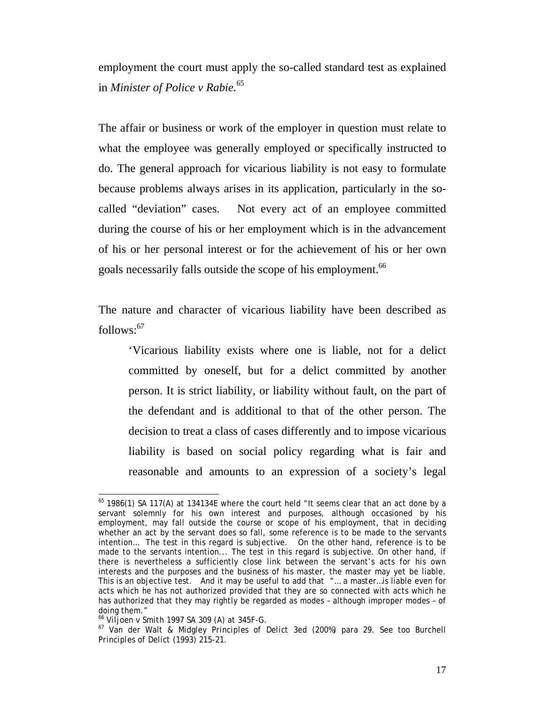employment the court must apply the so-called standard test as explained in *Minister of Police v Rabie.*<sup>65</sup>

The affair or business or work of the employer in question must relate to what the employee was generally employed or specifically instructed to do. The general approach for vicarious liability is not easy to formulate because problems always arises in its application, particularly in the socalled "deviation" cases. Not every act of an employee committed during the course of his or her employment which is in the advancement of his or her personal interest or for the achievement of his or her own goals necessarily falls outside the scope of his employment.<sup>66</sup>

The nature and character of vicarious liability have been described as  $follows: <sup>67</sup>$ 

'Vicarious liability exists where one is liable, not for a delict committed by oneself, but for a delict committed by another person. It is strict liability, or liability without fault, on the part of the defendant and is additional to that of the other person. The decision to treat a class of cases differently and to impose vicarious liability is based on social policy regarding what is fair and reasonable and amounts to an expression of a society's legal

 $65$  1986(1) SA 117(A) at 134134E where the court held "It seems clear that an act done by a servant solemnly for his own interest and purposes, although occasioned by his employment, may fall outside the course or scope of his employment, that in deciding whether an act by the servant does so fall, some reference is to be made to the servants intention… The test in this regard is subjective. On the other hand, reference is to be made to the servants intention... The test in this regard is subjective. On other hand, if there is nevertheless a sufficiently close link between the servant's acts for his own interests and the purposes and the business of his master, the master may yet be liable. This is an objective test. And it may be useful to add that "… a master…is liable even for acts which he has not authorized provided that they are so connected with acts which he has authorized that they may rightly be regarded as modes – although improper modes – of doing them."<br><sup>66</sup> Viljoen v Smith 1997 SA 309 (A) at 345F-G.

<sup>&</sup>lt;sup>67</sup> Van der Walt & Midgley *Principles of Delict* 3ed (200%) para 29. See too Burchell *Principles of Delict* (1993) 215-21.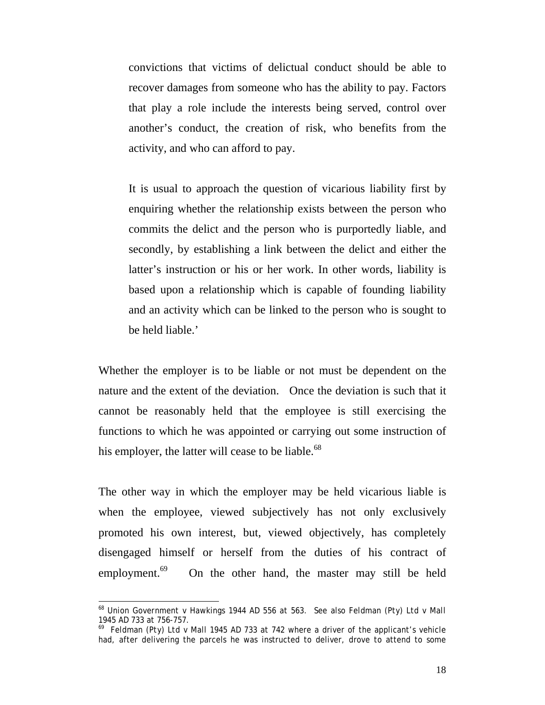convictions that victims of delictual conduct should be able to recover damages from someone who has the ability to pay. Factors that play a role include the interests being served, control over another's conduct, the creation of risk, who benefits from the activity, and who can afford to pay.

It is usual to approach the question of vicarious liability first by enquiring whether the relationship exists between the person who commits the delict and the person who is purportedly liable, and secondly, by establishing a link between the delict and either the latter's instruction or his or her work. In other words, liability is based upon a relationship which is capable of founding liability and an activity which can be linked to the person who is sought to be held liable.'

Whether the employer is to be liable or not must be dependent on the nature and the extent of the deviation. Once the deviation is such that it cannot be reasonably held that the employee is still exercising the functions to which he was appointed or carrying out some instruction of his employer, the latter will cease to be liable.<sup>68</sup>

The other way in which the employer may be held vicarious liable is when the employee, viewed subjectively has not only exclusively promoted his own interest, but, viewed objectively, has completely disengaged himself or herself from the duties of his contract of employment. $69$  On the other hand, the master may still be held

 $\overline{a}$ 

<sup>68</sup> *Union Government v Hawkings* 1944 AD 556 at 563. See also *Feldman (Pty) Ltd v Mall* 1945 AD 733 at 756-757.

<sup>69</sup> *Feldman (Pty) Ltd v M*all 1945 AD 733 at 742 where a driver of the applicant's vehicle had, after delivering the parcels he was instructed to deliver, drove to attend to some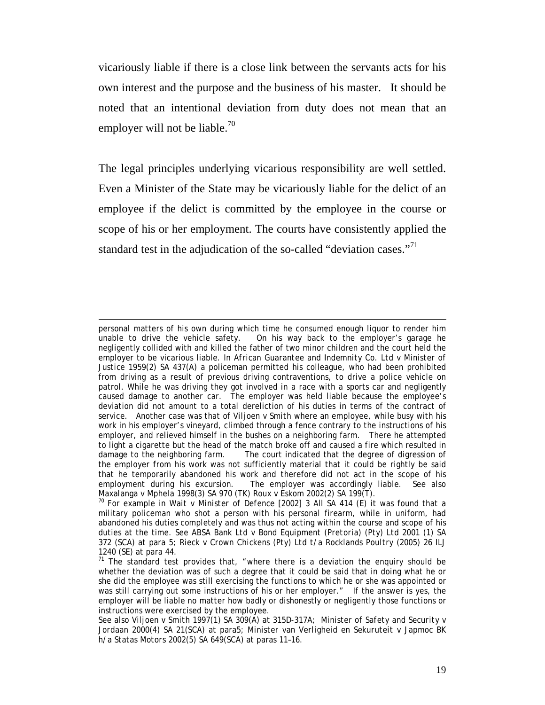vicariously liable if there is a close link between the servants acts for his own interest and the purpose and the business of his master. It should be noted that an intentional deviation from duty does not mean that an employer will not be liable.<sup>70</sup>

The legal principles underlying vicarious responsibility are well settled. Even a Minister of the State may be vicariously liable for the delict of an employee if the delict is committed by the employee in the course or scope of his or her employment. The courts have consistently applied the standard test in the adjudication of the so-called "deviation cases."<sup>71</sup>

 $\overline{a}$ 

personal matters of his own during which time he consumed enough liquor to render him unable to drive the vehicle safety. On his way back to the employer's garage he negligently collided with and killed the father of two minor children and the court held the employer to be vicarious liable. In *African Guarantee and Indemnity Co. Ltd v Minister of Justice* 1959(2) SA 437(A) a policeman permitted his colleague, who had been prohibited from driving as a result of previous driving contraventions, to drive a police vehicle on patrol. While he was driving they got involved in a race with a sports car and negligently caused damage to another car. The employer was held liable because the employee's deviation did not amount to a total dereliction of his duties in terms of the contract of service. Another case was that of *Viljoen v Smith* where an employee, while busy with his work in his employer's vineyard, climbed through a fence contrary to the instructions of his employer, and relieved himself in the bushes on a neighboring farm. There he attempted to light a cigarette but the head of the match broke off and caused a fire which resulted in damage to the neighboring farm. The court indicated that the degree of digression of the employer from his work was not sufficiently material that it could be rightly be said that he temporarily abandoned his work and therefore did not act in the scope of his The employer was accordingly liable. See also *Maxalanga v Mphela* 1998(3) SA 970 (TK) *Roux v Eskom* 2002(2) SA 199(T).<br><sup>70</sup> For example in *Wait v Minister of Defence* [2002] 3 All SA 414 (E) it was found that a

military policeman who shot a person with his personal firearm, while in uniform, had abandoned his duties completely and was thus not acting within the course and scope of his duties at the time. See *ABSA Bank Ltd v Bond Equipment (Pretoria) (Pty) Ltd* 2001 (1) SA 372 (SCA) at para 5; *Rieck v Crown Chickens (Pty) Ltd t/a Rocklands Poultry* (2005) 26 *ILJ* 1240 (SE) at para 44.

<sup>&</sup>lt;sup>71</sup> The standard test provides that, "where there is a deviation the enquiry should be whether the deviation was of such a degree that it could be said that in doing what he or she did the employee was still exercising the functions to which he or she was appointed or was still carrying out some instructions of his or her employer." If the answer is yes, the employer will be liable no matter how badly or dishonestly or negligently those functions or instructions were exercised by the employee.

See also *Viljoen v Smith* 1997(1) SA 309(A) at 315D-317A; *Minister of Safety* and *Security v Jordaan* 2000(4) SA 21(SCA) at para5; *Minister van Verligheid en Sekuruteit v Japmoc BK h/a Statas Motors* 2002(5) SA 649(SCA) at paras 11–16.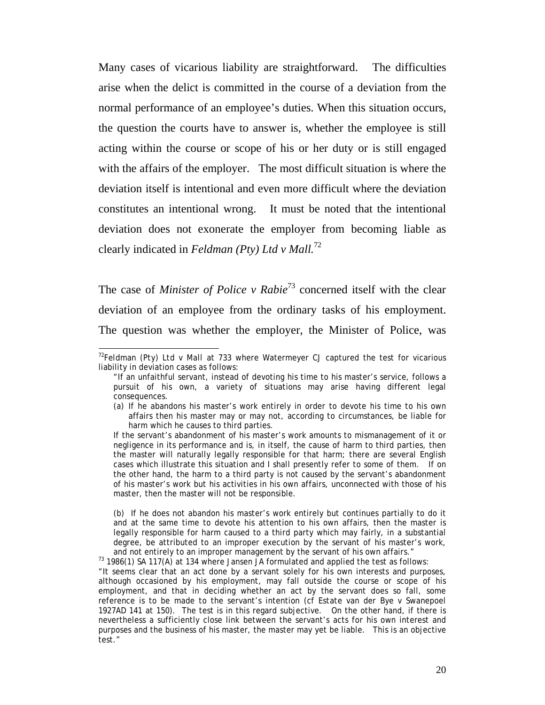Many cases of vicarious liability are straightforward. The difficulties arise when the delict is committed in the course of a deviation from the normal performance of an employee's duties. When this situation occurs, the question the courts have to answer is, whether the employee is still acting within the course or scope of his or her duty or is still engaged with the affairs of the employer. The most difficult situation is where the deviation itself is intentional and even more difficult where the deviation constitutes an intentional wrong. It must be noted that the intentional deviation does not exonerate the employer from becoming liable as clearly indicated in *Feldman (Pty) Ltd v Mall.*<sup>72</sup>

The case of *Minister of Police v Rabie*73 concerned itself with the clear deviation of an employee from the ordinary tasks of his employment. The question was whether the employer, the Minister of Police, was

(b) If he does not abandon his master's work entirely but continues partially to do it and at the same time to devote his attention to his own affairs, then the master is legally responsible for harm caused to a third party which may fairly, in a substantial degree, be attributed to an improper execution by the servant of his master's work,

and not entirely to an improper management by the servant of his own affairs."<br><sup>73</sup> 1986(1) SA 117(A) at 134 where Jansen JA formulated and applied the test as follows:

"It seems clear that an act done by a servant solely for his own interests and purposes, although occasioned by his employment, may fall outside the course or scope of his employment, and that in deciding whether an act by the servant does so fall, some reference is to be made to the servant's intention (cf *Estate van der Bye v Swanepoel* 1927AD 141 at 150). The test is in this regard subjective. On the other hand, if there is nevertheless a sufficiently close link between the servant's acts for his own interest and purposes and the business of his master, the master may yet be liable. This is an objective test."

 $\overline{\phantom{a}}$ <sup>72</sup>*Feldman (Pty) Ltd v Mall* at 733 where Watermeyer CJ captured the test for vicarious liability in deviation cases as follows:

<sup>&</sup>quot;If an unfaithful servant, instead of devoting his time to his master's service, follows a pursuit of his own, a variety of situations may arise having different legal consequences.

<sup>(</sup>a) If he abandons his master's work entirely in order to devote his time to his own affairs then his master may or may not, according to circumstances, be liable for harm which he causes to third parties.

If the servant's abandonment of his master's work amounts to mismanagement of it or negligence in its performance and is, in itself, the cause of harm to third parties, then the master will naturally legally responsible for that harm; there are several English cases which illustrate this situation and I shall presently refer to some of them. If on the other hand, the harm to a third party is not caused by the servant's abandonment of his master's work but his activities in his own affairs, unconnected with those of his master, then the master will not be responsible.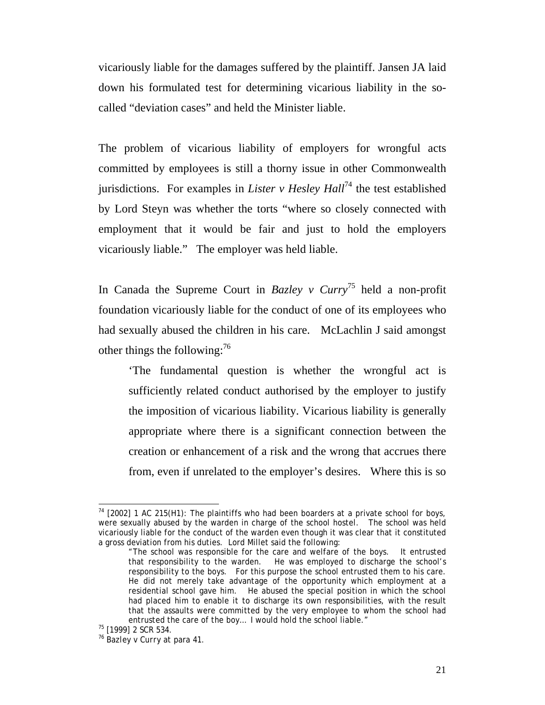vicariously liable for the damages suffered by the plaintiff. Jansen JA laid down his formulated test for determining vicarious liability in the socalled "deviation cases" and held the Minister liable.

The problem of vicarious liability of employers for wrongful acts committed by employees is still a thorny issue in other Commonwealth jurisdictions. For examples in *Lister v Hesley Hall*<sup>74</sup> the test established by Lord Steyn was whether the torts "where so closely connected with employment that it would be fair and just to hold the employers vicariously liable." The employer was held liable.

In Canada the Supreme Court in *Bazley v Curry*75 held a non-profit foundation vicariously liable for the conduct of one of its employees who had sexually abused the children in his care. McLachlin J said amongst other things the following: $^{76}$ 

'The fundamental question is whether the wrongful act is sufficiently related conduct authorised by the employer to justify the imposition of vicarious liability. Vicarious liability is generally appropriate where there is a significant connection between the creation or enhancement of a risk and the wrong that accrues there from, even if unrelated to the employer's desires. Where this is so

 $\overline{\phantom{a}}$ 

 $74$  [2002] 1 AC 215(H1): The plaintiffs who had been boarders at a private school for boys, were sexually abused by the warden in charge of the school hostel. The school was held vicariously liable for the conduct of the warden even though it was clear that it constituted a gross deviation from his duties. Lord Millet said the following:

<sup>&</sup>quot;The school was responsible for the care and welfare of the boys. It entrusted that responsibility to the warden. He was employed to discharge the school's responsibility to the boys. For this purpose the school entrusted them to his care. He did not merely take advantage of the opportunity which employment at a residential school gave him. He abused the special position in which the school had placed him to enable it to discharge its own responsibilities, with the result that the assaults were committed by the very employee to whom the school had entrusted the care of the boy... I would hold the school liable."<br><sup>75</sup> [1999] 2 SCR 534.

<sup>76</sup> *Bazley v Curry* at para 41.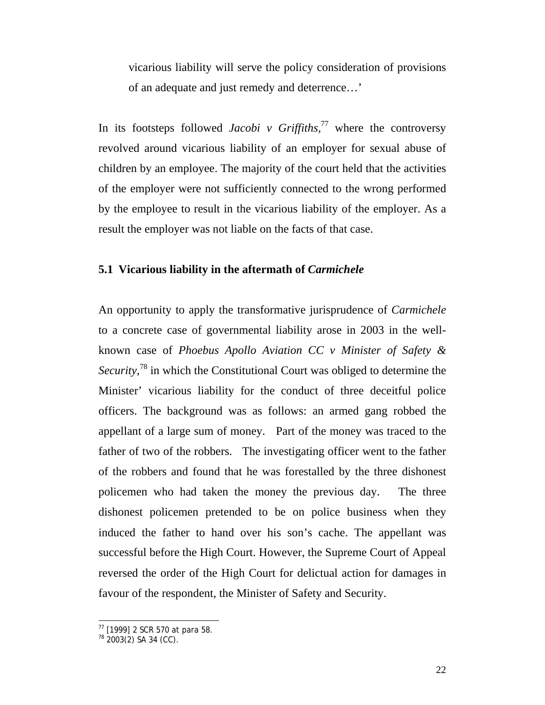vicarious liability will serve the policy consideration of provisions of an adequate and just remedy and deterrence…'

In its footsteps followed *Jacobi v Griffiths,*77 where the controversy revolved around vicarious liability of an employer for sexual abuse of children by an employee. The majority of the court held that the activities of the employer were not sufficiently connected to the wrong performed by the employee to result in the vicarious liability of the employer. As a result the employer was not liable on the facts of that case.

### **5.1 Vicarious liability in the aftermath of** *Carmichele*

An opportunity to apply the transformative jurisprudence of *Carmichele* to a concrete case of governmental liability arose in 2003 in the wellknown case of *Phoebus Apollo Aviation CC v Minister of Safety &*  Security,<sup>78</sup> in which the Constitutional Court was obliged to determine the Minister' vicarious liability for the conduct of three deceitful police officers. The background was as follows: an armed gang robbed the appellant of a large sum of money. Part of the money was traced to the father of two of the robbers. The investigating officer went to the father of the robbers and found that he was forestalled by the three dishonest policemen who had taken the money the previous day. The three dishonest policemen pretended to be on police business when they induced the father to hand over his son's cache. The appellant was successful before the High Court. However, the Supreme Court of Appeal reversed the order of the High Court for delictual action for damages in favour of the respondent, the Minister of Safety and Security.

 $\overline{\phantom{a}}$ 

 $77$  [1999] 2 SCR 570 at para 58.

 $78$  2003(2) SA 34 (CC).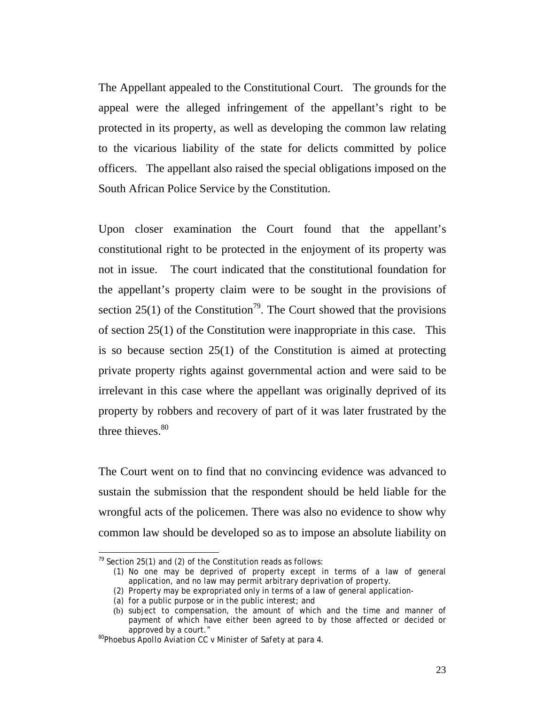The Appellant appealed to the Constitutional Court. The grounds for the appeal were the alleged infringement of the appellant's right to be protected in its property, as well as developing the common law relating to the vicarious liability of the state for delicts committed by police officers. The appellant also raised the special obligations imposed on the South African Police Service by the Constitution.

Upon closer examination the Court found that the appellant's constitutional right to be protected in the enjoyment of its property was not in issue. The court indicated that the constitutional foundation for the appellant's property claim were to be sought in the provisions of section 25(1) of the Constitution<sup>79</sup>. The Court showed that the provisions of section 25(1) of the Constitution were inappropriate in this case. This is so because section 25(1) of the Constitution is aimed at protecting private property rights against governmental action and were said to be irrelevant in this case where the appellant was originally deprived of its property by robbers and recovery of part of it was later frustrated by the three thieves. $80$ 

The Court went on to find that no convincing evidence was advanced to sustain the submission that the respondent should be held liable for the wrongful acts of the policemen. There was also no evidence to show why common law should be developed so as to impose an absolute liability on

 $\overline{\phantom{a}}$  $79$  Section 25(1) and (2) of the Constitution reads as follows:

<sup>(1)</sup> No one may be deprived of property except in terms of a law of general application, and no law may permit arbitrary deprivation of property.

<sup>(2)</sup> Property may be expropriated only in terms of a law of general application-

<sup>(</sup>a) for a public purpose or in the public interest; and

<sup>(</sup>b) subject to compensation, the amount of which and the time and manner of payment of which have either been agreed to by those affected or decided or approved by a court." 80*Phoebus Apollo Aviation CC v Minister of Safety* at para 4.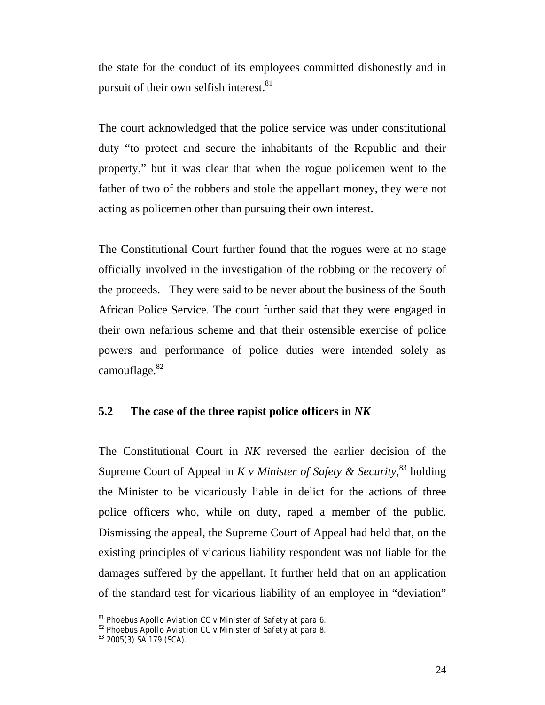the state for the conduct of its employees committed dishonestly and in pursuit of their own selfish interest.<sup>81</sup>

The court acknowledged that the police service was under constitutional duty "to protect and secure the inhabitants of the Republic and their property," but it was clear that when the rogue policemen went to the father of two of the robbers and stole the appellant money, they were not acting as policemen other than pursuing their own interest.

The Constitutional Court further found that the rogues were at no stage officially involved in the investigation of the robbing or the recovery of the proceeds. They were said to be never about the business of the South African Police Service. The court further said that they were engaged in their own nefarious scheme and that their ostensible exercise of police powers and performance of police duties were intended solely as camouflage.<sup>82</sup>

### **5.2 The case of the three rapist police officers in** *NK*

The Constitutional Court in *NK* reversed the earlier decision of the Supreme Court of Appeal in *K v Minister of Safety & Security,*<sup>83</sup> holding the Minister to be vicariously liable in delict for the actions of three police officers who, while on duty, raped a member of the public. Dismissing the appeal, the Supreme Court of Appeal had held that, on the existing principles of vicarious liability respondent was not liable for the damages suffered by the appellant. It further held that on an application of the standard test for vicarious liability of an employee in "deviation"

 $\overline{a}$ 

<sup>&</sup>lt;sup>81</sup> *Phoebus Apollo Aviation CC v Minister of Safety* at para 6.<br><sup>82</sup> *Phoebus Apollo Aviation CC v Minister of Safety* at para 8.<br><sup>83</sup> 2005(3) SA 179 (SCA).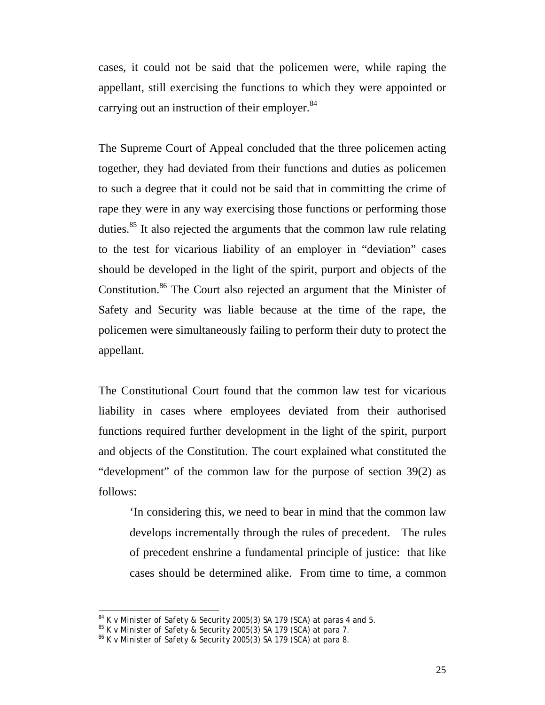cases, it could not be said that the policemen were, while raping the appellant, still exercising the functions to which they were appointed or carrying out an instruction of their employer.<sup>84</sup>

The Supreme Court of Appeal concluded that the three policemen acting together, they had deviated from their functions and duties as policemen to such a degree that it could not be said that in committing the crime of rape they were in any way exercising those functions or performing those duties.<sup>85</sup> It also rejected the arguments that the common law rule relating to the test for vicarious liability of an employer in "deviation" cases should be developed in the light of the spirit, purport and objects of the Constitution.86 The Court also rejected an argument that the Minister of Safety and Security was liable because at the time of the rape, the policemen were simultaneously failing to perform their duty to protect the appellant.

The Constitutional Court found that the common law test for vicarious liability in cases where employees deviated from their authorised functions required further development in the light of the spirit, purport and objects of the Constitution. The court explained what constituted the "development" of the common law for the purpose of section 39(2) as follows:

'In considering this, we need to bear in mind that the common law develops incrementally through the rules of precedent. The rules of precedent enshrine a fundamental principle of justice: that like cases should be determined alike. From time to time, a common

 $84$  K v Minister of Safety & Security 2005(3) SA 179 (SCA) at paras 4 and 5.

 $85 K v$  Minister of Safety & Security 2005(3) SA 179 (SCA) at para 7.<br> $85 K v$  Minister of Safety & Security 2005(3) SA 179 (SCA) at para 7.<br> $86 K v$  Minister of Safety & Security 2005(3) SA 179 (SCA) at para 8.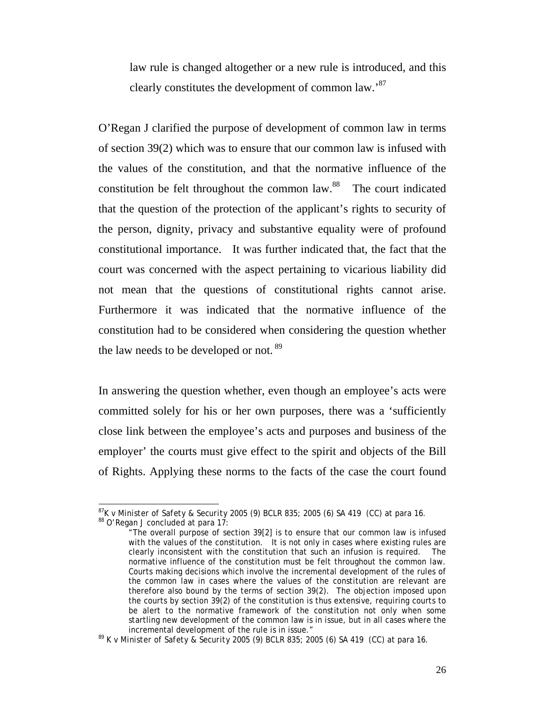law rule is changed altogether or a new rule is introduced, and this clearly constitutes the development of common law.'87

O'Regan J clarified the purpose of development of common law in terms of section 39(2) which was to ensure that our common law is infused with the values of the constitution, and that the normative influence of the constitution be felt throughout the common law.88 The court indicated that the question of the protection of the applicant's rights to security of the person, dignity, privacy and substantive equality were of profound constitutional importance. It was further indicated that, the fact that the court was concerned with the aspect pertaining to vicarious liability did not mean that the questions of constitutional rights cannot arise. Furthermore it was indicated that the normative influence of the constitution had to be considered when considering the question whether the law needs to be developed or not.<sup>89</sup>

In answering the question whether, even though an employee's acts were committed solely for his or her own purposes, there was a 'sufficiently close link between the employee's acts and purposes and business of the employer' the courts must give effect to the spirit and objects of the Bill of Rights. Applying these norms to the facts of the case the court found

 $\overline{\phantom{a}}$ 

<sup>&</sup>lt;sup>87</sup>*K v Minister of Safety & Security* 2005 (9) BCLR 835; 2005 (6) SA 419 (CC) at para 16. <sup>88</sup> O'Regan J concluded at para 17:

<sup>&</sup>quot;The overall purpose of section 39[2] is to ensure that our common law is infused with the values of the constitution. It is not only in cases where existing rules are clearly inconsistent with the constitution that such an infusion is required. The normative influence of the constitution must be felt throughout the common law. Courts making decisions which involve the incremental development of the rules of the common law in cases where the values of the constitution are relevant are therefore also bound by the terms of section 39(2). The objection imposed upon the courts by section 39(2) of the constitution is thus extensive, requiring courts to be alert to the normative framework of the constitution not only when some startling new development of the common law is in issue, but in all cases where the

incremental development of the rule is in issue." 89 *K v Minister of Safety & Security* 2005 (9) BCLR 835; 2005 (6) SA 419 (CC) at para 16.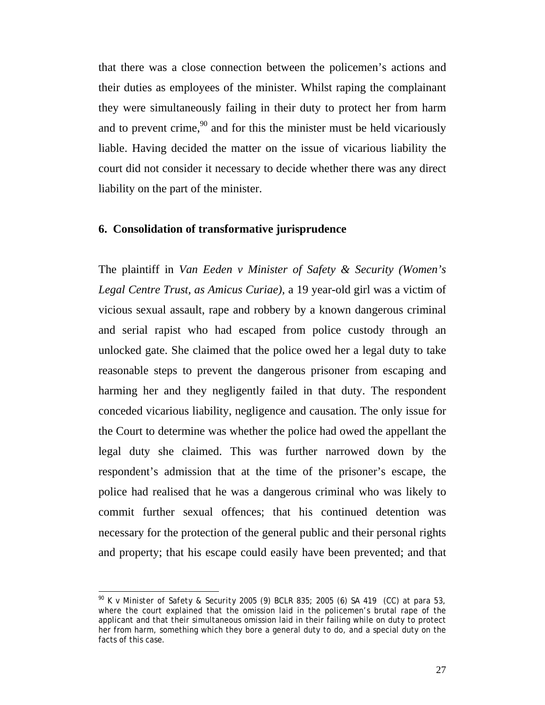that there was a close connection between the policemen's actions and their duties as employees of the minister. Whilst raping the complainant they were simultaneously failing in their duty to protect her from harm and to prevent crime,  $^{90}$  and for this the minister must be held vicariously liable. Having decided the matter on the issue of vicarious liability the court did not consider it necessary to decide whether there was any direct liability on the part of the minister.

#### **6. Consolidation of transformative jurisprudence**

The plaintiff in *Van Eeden v Minister of Safety & Security (Women's Legal Centre Trust, as Amicus Curiae),* a 19 year-old girl was a victim of vicious sexual assault, rape and robbery by a known dangerous criminal and serial rapist who had escaped from police custody through an unlocked gate. She claimed that the police owed her a legal duty to take reasonable steps to prevent the dangerous prisoner from escaping and harming her and they negligently failed in that duty. The respondent conceded vicarious liability, negligence and causation. The only issue for the Court to determine was whether the police had owed the appellant the legal duty she claimed. This was further narrowed down by the respondent's admission that at the time of the prisoner's escape, the police had realised that he was a dangerous criminal who was likely to commit further sexual offences; that his continued detention was necessary for the protection of the general public and their personal rights and property; that his escape could easily have been prevented; and that

<sup>90</sup> *K v Minister of Safety & Security* 2005 (9) BCLR 835; 2005 (6) SA 419 (CC) at para 53, where the court explained that the omission laid in the policemen's brutal rape of the applicant and that their simultaneous omission laid in their failing while on duty to protect her from harm, something which they bore a general duty to do, and a special duty on the facts of this case.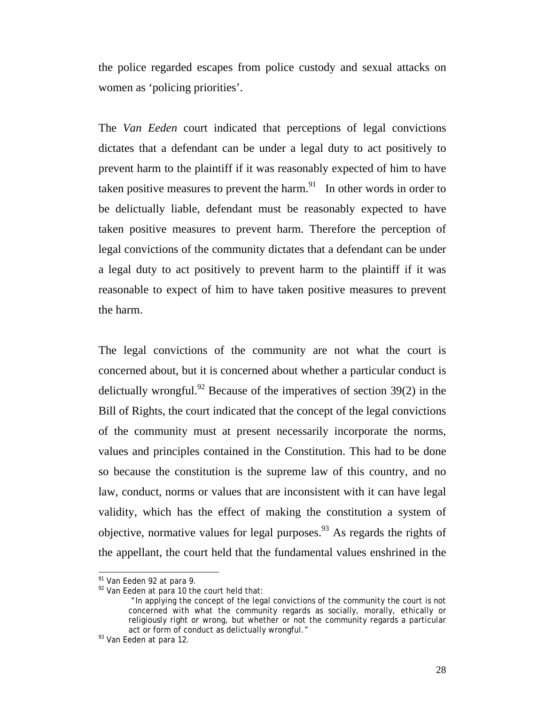the police regarded escapes from police custody and sexual attacks on women as 'policing priorities'.

The *Van Eeden* court indicated that perceptions of legal convictions dictates that a defendant can be under a legal duty to act positively to prevent harm to the plaintiff if it was reasonably expected of him to have taken positive measures to prevent the harm.<sup>91</sup> In other words in order to be delictually liable, defendant must be reasonably expected to have taken positive measures to prevent harm. Therefore the perception of legal convictions of the community dictates that a defendant can be under a legal duty to act positively to prevent harm to the plaintiff if it was reasonable to expect of him to have taken positive measures to prevent the harm.

The legal convictions of the community are not what the court is concerned about, but it is concerned about whether a particular conduct is delictually wrongful.<sup>92</sup> Because of the imperatives of section  $39(2)$  in the Bill of Rights, the court indicated that the concept of the legal convictions of the community must at present necessarily incorporate the norms, values and principles contained in the Constitution. This had to be done so because the constitution is the supreme law of this country, and no law, conduct, norms or values that are inconsistent with it can have legal validity, which has the effect of making the constitution a system of objective, normative values for legal purposes.<sup>93</sup> As regards the rights of the appellant, the court held that the fundamental values enshrined in the

 $\overline{\phantom{a}}$ 

<sup>&</sup>lt;sup>91</sup> *Van Eeden* 92 at para 9.<br><sup>92</sup> *Van Eeden* at para 10 the court held that:

 <sup>&</sup>quot;In applying the concept of the legal convictions of the community the court is not concerned with what the community regards as socially, morally, ethically or religiously right or wrong, but whether or not the community regards a particular act or form of conduct as delictually wrongful." 93 *Van Eeden* at para 12.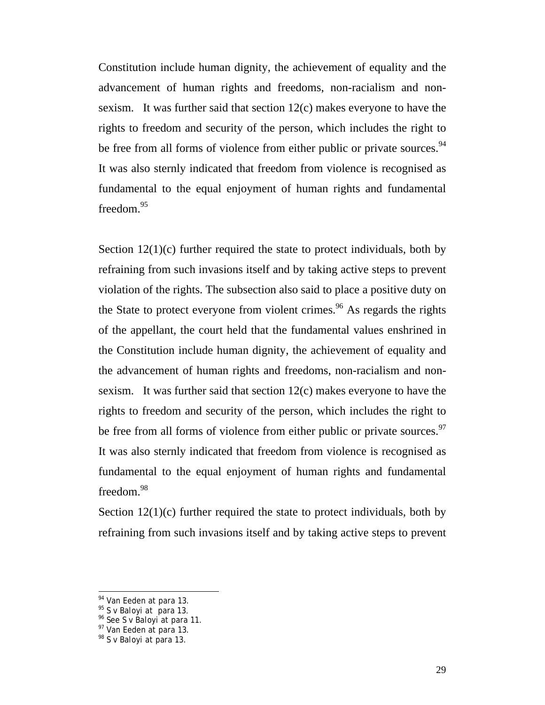Constitution include human dignity, the achievement of equality and the advancement of human rights and freedoms, non-racialism and nonsexism. It was further said that section 12(c) makes everyone to have the rights to freedom and security of the person, which includes the right to be free from all forms of violence from either public or private sources.<sup>94</sup> It was also sternly indicated that freedom from violence is recognised as fundamental to the equal enjoyment of human rights and fundamental freedom.<sup>95</sup>

Section  $12(1)(c)$  further required the state to protect individuals, both by refraining from such invasions itself and by taking active steps to prevent violation of the rights. The subsection also said to place a positive duty on the State to protect everyone from violent crimes.<sup>96</sup> As regards the rights of the appellant, the court held that the fundamental values enshrined in the Constitution include human dignity, the achievement of equality and the advancement of human rights and freedoms, non-racialism and nonsexism. It was further said that section 12(c) makes everyone to have the rights to freedom and security of the person, which includes the right to be free from all forms of violence from either public or private sources.<sup>97</sup> It was also sternly indicated that freedom from violence is recognised as fundamental to the equal enjoyment of human rights and fundamental freedom.<sup>98</sup>

Section  $12(1)(c)$  further required the state to protect individuals, both by refraining from such invasions itself and by taking active steps to prevent

<sup>&</sup>lt;sup>94</sup> *Van Eeden* at para 13.<br><sup>95</sup> *S v Baloyi* at para 13.<br><sup>96</sup> See *S v Baloyi* at para 11.<br><sup>97</sup> *Van Eeden* at para 13.<br><sup>98</sup> *S v Baloyi* at para 13.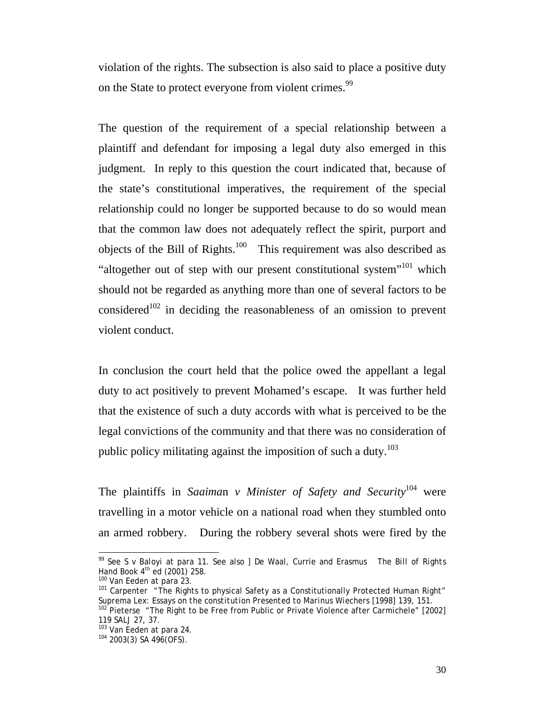violation of the rights. The subsection is also said to place a positive duty on the State to protect everyone from violent crimes.<sup>99</sup>

The question of the requirement of a special relationship between a plaintiff and defendant for imposing a legal duty also emerged in this judgment. In reply to this question the court indicated that, because of the state's constitutional imperatives, the requirement of the special relationship could no longer be supported because to do so would mean that the common law does not adequately reflect the spirit, purport and objects of the Bill of Rights.<sup>100</sup> This requirement was also described as "altogether out of step with our present constitutional system"<sup>101</sup> which should not be regarded as anything more than one of several factors to be considered<sup>102</sup> in deciding the reasonableness of an omission to prevent violent conduct.

In conclusion the court held that the police owed the appellant a legal duty to act positively to prevent Mohamed's escape. It was further held that the existence of such a duty accords with what is perceived to be the legal convictions of the community and that there was no consideration of public policy militating against the imposition of such a duty.<sup>103</sup>

The plaintiffs in *Saaima*n *v Minister of Safety and Security*104 were travelling in a motor vehicle on a national road when they stumbled onto an armed robbery. During the robbery several shots were fired by the

 $\overline{\phantom{a}}$ 

<sup>99</sup> See *S v Baloyi* at para 11. See also ] De Waal, Currie and Erasmus The *Bill of Rights* 

*Hand Book* 4th ed (2001) 258.<br><sup>100</sup> *Van Eeden* at para 23.<br><sup>101</sup> Carpenter "The Rights to physical Safety as a Constitutionally Protected Human Right"<br>*Suprema Lex: Essays on the constitution Presented to Marinus Wiecher* 

*Suprema Lexis 2002*<br><sup>102</sup> Pieterse "The Right to be Free from Public or Private Violence after *Carmichele*" [2002]<br>119 SALJ 27, 37.

<sup>&</sup>lt;sup>103</sup> *Van Eeden* at para 24.<br><sup>104</sup> 2003(3) SA 496(OFS).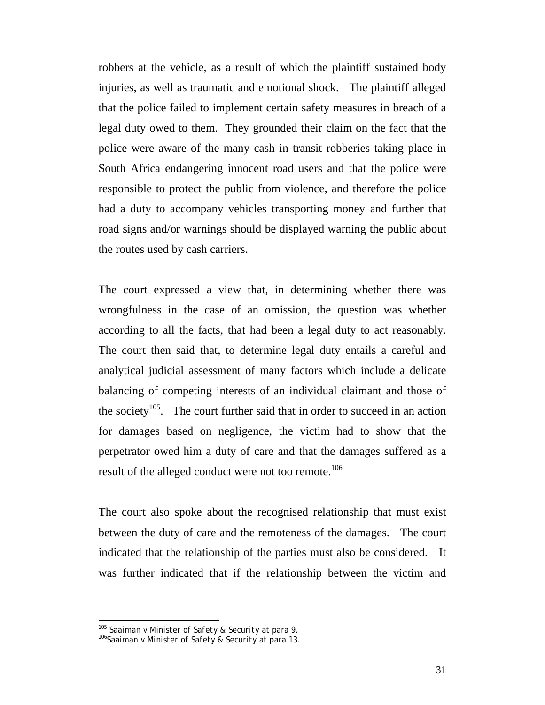robbers at the vehicle, as a result of which the plaintiff sustained body injuries, as well as traumatic and emotional shock. The plaintiff alleged that the police failed to implement certain safety measures in breach of a legal duty owed to them. They grounded their claim on the fact that the police were aware of the many cash in transit robberies taking place in South Africa endangering innocent road users and that the police were responsible to protect the public from violence, and therefore the police had a duty to accompany vehicles transporting money and further that road signs and/or warnings should be displayed warning the public about the routes used by cash carriers.

The court expressed a view that, in determining whether there was wrongfulness in the case of an omission, the question was whether according to all the facts, that had been a legal duty to act reasonably. The court then said that, to determine legal duty entails a careful and analytical judicial assessment of many factors which include a delicate balancing of competing interests of an individual claimant and those of the society<sup>105</sup>. The court further said that in order to succeed in an action for damages based on negligence, the victim had to show that the perpetrator owed him a duty of care and that the damages suffered as a result of the alleged conduct were not too remote.<sup>106</sup>

The court also spoke about the recognised relationship that must exist between the duty of care and the remoteness of the damages. The court indicated that the relationship of the parties must also be considered. It was further indicated that if the relationship between the victim and

 $\overline{\phantom{a}}$ 

<sup>105</sup> *Saaima*n *v Minister of Safety & Security* at para 9. <sup>106</sup>*Saaima*n *v Minister of Safety & Security* at para 13.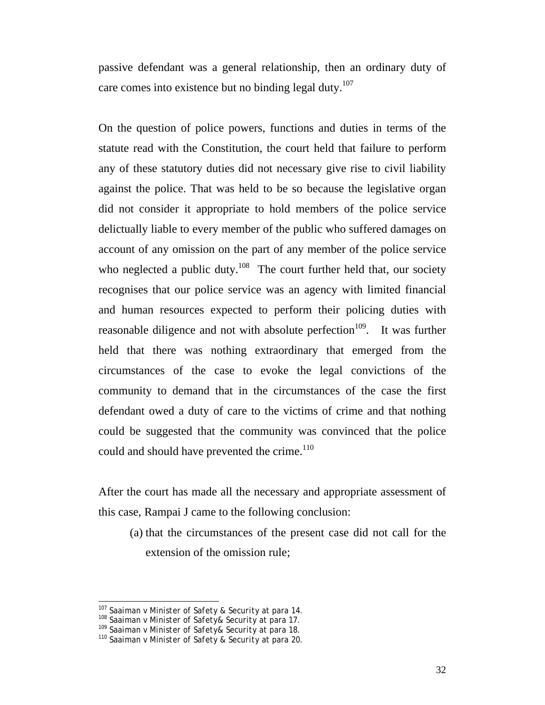passive defendant was a general relationship, then an ordinary duty of care comes into existence but no binding legal duty.<sup>107</sup>

On the question of police powers, functions and duties in terms of the statute read with the Constitution, the court held that failure to perform any of these statutory duties did not necessary give rise to civil liability against the police. That was held to be so because the legislative organ did not consider it appropriate to hold members of the police service delictually liable to every member of the public who suffered damages on account of any omission on the part of any member of the police service who neglected a public duty.<sup>108</sup> The court further held that, our society recognises that our police service was an agency with limited financial and human resources expected to perform their policing duties with reasonable diligence and not with absolute perfection<sup>109</sup>. It was further held that there was nothing extraordinary that emerged from the circumstances of the case to evoke the legal convictions of the community to demand that in the circumstances of the case the first defendant owed a duty of care to the victims of crime and that nothing could be suggested that the community was convinced that the police could and should have prevented the crime.<sup>110</sup>

After the court has made all the necessary and appropriate assessment of this case, Rampai J came to the following conclusion:

(a) that the circumstances of the present case did not call for the extension of the omission rule;

<sup>&</sup>lt;sup>107</sup> Saaiman v Minister of Safety & Security at para 14.

<sup>&</sup>lt;sup>108</sup> Saaiman *v Minister of Safety& Security* at para 17.<br><sup>109</sup> Saaiman *v Minister of Safety& Security* at para 18.<br><sup>110</sup> Saaiman *v Minister of Safety & Security* at para 20.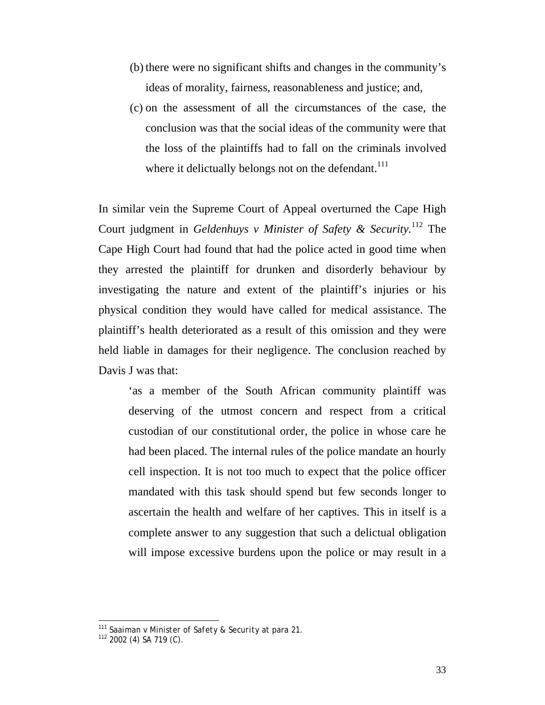- (b) there were no significant shifts and changes in the community's ideas of morality, fairness, reasonableness and justice; and,
- (c) on the assessment of all the circumstances of the case, the conclusion was that the social ideas of the community were that the loss of the plaintiffs had to fall on the criminals involved where it delictually belongs not on the defendant. $111$

In similar vein the Supreme Court of Appeal overturned the Cape High Court judgment in *Geldenhuys v Minister of Safety & Security.*112 The Cape High Court had found that had the police acted in good time when they arrested the plaintiff for drunken and disorderly behaviour by investigating the nature and extent of the plaintiff's injuries or his physical condition they would have called for medical assistance. The plaintiff's health deteriorated as a result of this omission and they were held liable in damages for their negligence. The conclusion reached by Davis J was that:

'as a member of the South African community plaintiff was deserving of the utmost concern and respect from a critical custodian of our constitutional order, the police in whose care he had been placed. The internal rules of the police mandate an hourly cell inspection. It is not too much to expect that the police officer mandated with this task should spend but few seconds longer to ascertain the health and welfare of her captives. This in itself is a complete answer to any suggestion that such a delictual obligation will impose excessive burdens upon the police or may result in a

 $\overline{\phantom{a}}$ 

<sup>&</sup>lt;sup>111</sup> *Saaima*n *v Minister of Safety & Security* at para 21.<br><sup>112</sup> 2002 (4) SA 719 (C).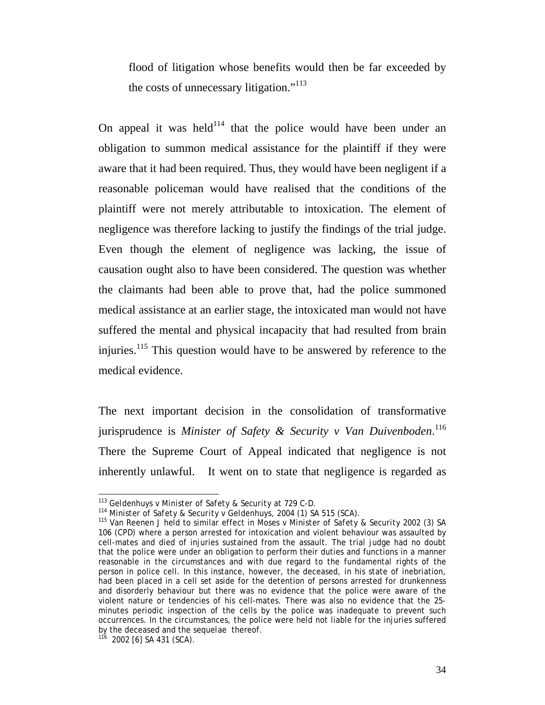flood of litigation whose benefits would then be far exceeded by the costs of unnecessary litigation."<sup>113</sup>

On appeal it was held<sup>114</sup> that the police would have been under an obligation to summon medical assistance for the plaintiff if they were aware that it had been required. Thus, they would have been negligent if a reasonable policeman would have realised that the conditions of the plaintiff were not merely attributable to intoxication. The element of negligence was therefore lacking to justify the findings of the trial judge. Even though the element of negligence was lacking, the issue of causation ought also to have been considered. The question was whether the claimants had been able to prove that, had the police summoned medical assistance at an earlier stage, the intoxicated man would not have suffered the mental and physical incapacity that had resulted from brain injuries.<sup>115</sup> This question would have to be answered by reference to the medical evidence.

The next important decision in the consolidation of transformative jurisprudence is *Minister of Safety & Security v Van Duivenboden*. 116 There the Supreme Court of Appeal indicated that negligence is not inherently unlawful. It went on to state that negligence is regarded as

<sup>113</sup> Geldenhuys v Minister of Safety & Security at 729 C-D.

<sup>&</sup>lt;sup>114</sup> Minister of Safety & Security v Geldenhuys, 2004 (1) SA 515 (SCA).<br><sup>115</sup> Van Reenen J held to similar effect in *Moses v Minister of Safety & Security* 2002 (3) SA 106 (CPD) where a person arrested for intoxication and violent behaviour was assaulted by cell-mates and died of injuries sustained from the assault. The trial judge had no doubt that the police were under an obligation to perform their duties and functions in a manner reasonable in the circumstances and with due regard to the fundamental rights of the person in police cell. In this instance, however, the deceased, in his state of inebriation, had been placed in a cell set aside for the detention of persons arrested for drunkenness and disorderly behaviour but there was no evidence that the police were aware of the violent nature or tendencies of his cell-mates. There was also no evidence that the 25 minutes periodic inspection of the cells by the police was inadequate to prevent such occurrences. In the circumstances, the police were held not liable for the injuries suffered by the deceased and the *sequelae* thereof. 116 2002 [6] SA 431 (SCA).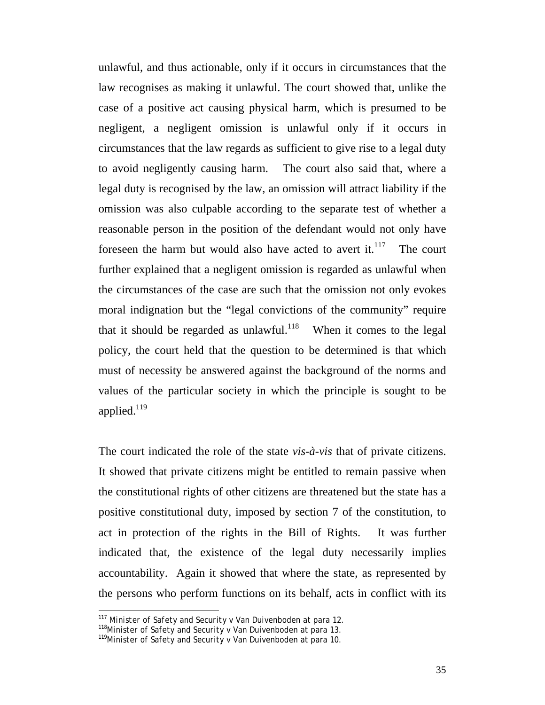unlawful, and thus actionable, only if it occurs in circumstances that the law recognises as making it unlawful. The court showed that, unlike the case of a positive act causing physical harm, which is presumed to be negligent, a negligent omission is unlawful only if it occurs in circumstances that the law regards as sufficient to give rise to a legal duty to avoid negligently causing harm. The court also said that, where a legal duty is recognised by the law, an omission will attract liability if the omission was also culpable according to the separate test of whether a reasonable person in the position of the defendant would not only have foreseen the harm but would also have acted to avert it. $117$  The court further explained that a negligent omission is regarded as unlawful when the circumstances of the case are such that the omission not only evokes moral indignation but the "legal convictions of the community" require that it should be regarded as unlawful.<sup>118</sup> When it comes to the legal policy, the court held that the question to be determined is that which must of necessity be answered against the background of the norms and values of the particular society in which the principle is sought to be applied. $119$ 

The court indicated the role of the state *vis-à-vis* that of private citizens. It showed that private citizens might be entitled to remain passive when the constitutional rights of other citizens are threatened but the state has a positive constitutional duty, imposed by section 7 of the constitution, to act in protection of the rights in the Bill of Rights. It was further indicated that, the existence of the legal duty necessarily implies accountability. Again it showed that where the state, as represented by the persons who perform functions on its behalf, acts in conflict with its

 $\overline{a}$ 

<sup>117</sup> *Minister of Safety and Security v Van Duivenboden* at para 12. 118*Minister of Safety and Security v Van Duivenboden* at para 13. 119*Minister of Safety and Security v Van Duivenboden* at para 10.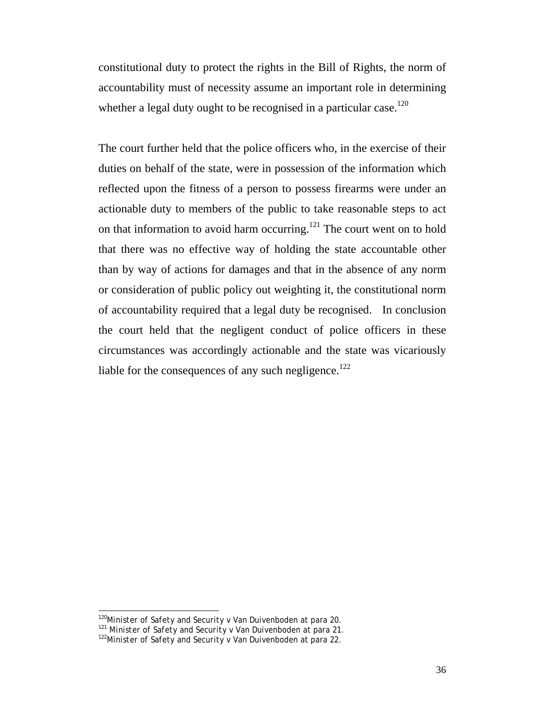constitutional duty to protect the rights in the Bill of Rights, the norm of accountability must of necessity assume an important role in determining whether a legal duty ought to be recognised in a particular case.<sup>120</sup>

The court further held that the police officers who, in the exercise of their duties on behalf of the state, were in possession of the information which reflected upon the fitness of a person to possess firearms were under an actionable duty to members of the public to take reasonable steps to act on that information to avoid harm occurring.<sup>121</sup> The court went on to hold that there was no effective way of holding the state accountable other than by way of actions for damages and that in the absence of any norm or consideration of public policy out weighting it, the constitutional norm of accountability required that a legal duty be recognised. In conclusion the court held that the negligent conduct of police officers in these circumstances was accordingly actionable and the state was vicariously liable for the consequences of any such negligence.<sup>122</sup>

 $\overline{a}$ 

<sup>&</sup>lt;sup>120</sup>*Minister of Safety and Security v Van Duivenboden* at para 20.<br><sup>121</sup> *Minister of Safety and Security v Van Duivenboden* at para 21.<br><sup>122</sup>*Minister of Safety and Security v Van Duivenboden* at para 22.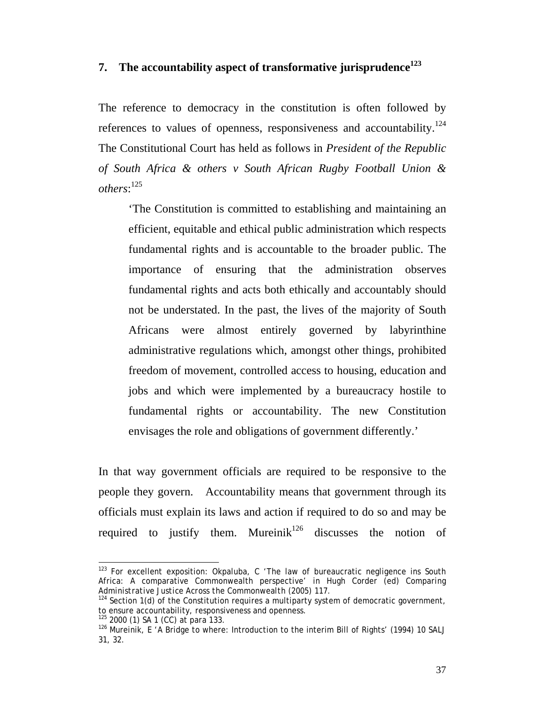### **7. The accountability aspect of transformative jurisprudence<sup>123</sup>**

The reference to democracy in the constitution is often followed by references to values of openness, responsiveness and accountability.<sup>124</sup> The Constitutional Court has held as follows in *President of the Republic of South Africa & others v South African Rugby Football Union & others*: 125

'The Constitution is committed to establishing and maintaining an efficient, equitable and ethical public administration which respects fundamental rights and is accountable to the broader public. The importance of ensuring that the administration observes fundamental rights and acts both ethically and accountably should not be understated. In the past, the lives of the majority of South Africans were almost entirely governed by labyrinthine administrative regulations which, amongst other things, prohibited freedom of movement, controlled access to housing, education and jobs and which were implemented by a bureaucracy hostile to fundamental rights or accountability. The new Constitution envisages the role and obligations of government differently.'

In that way government officials are required to be responsive to the people they govern. Accountability means that government through its officials must explain its laws and action if required to do so and may be required to justify them. Mureinik $126$  discusses the notion of

 $\overline{\phantom{a}}$  $123$  For excellent exposition: Okpaluba, C 'The law of bureaucratic negligence ins South Africa: A comparative Commonwealth perspective' in Hugh Corder (ed) *Comparing* 

<sup>&</sup>lt;sup>124</sup> Section 1(d) of the Constitution requires a multiparty system of democratic government, to ensure accountability, responsiveness and openness.<br><sup>125</sup> 2000 (1) SA 1 (CC) at para 133.

<sup>&</sup>lt;sup>126</sup> Mureinik, E 'A Bridge to where: Introduction to the interim Bill of Rights' (1994) 10 *SALJ* 31, 32.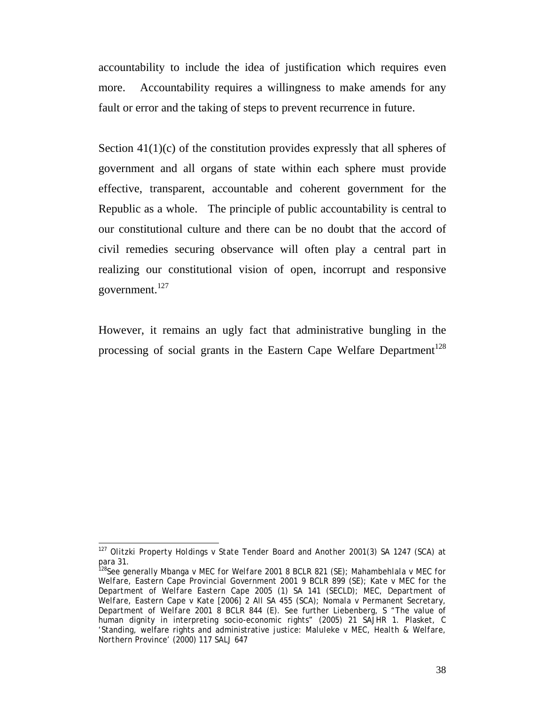accountability to include the idea of justification which requires even more. Accountability requires a willingness to make amends for any fault or error and the taking of steps to prevent recurrence in future.

Section 41(1)(c) of the constitution provides expressly that all spheres of government and all organs of state within each sphere must provide effective, transparent, accountable and coherent government for the Republic as a whole. The principle of public accountability is central to our constitutional culture and there can be no doubt that the accord of civil remedies securing observance will often play a central part in realizing our constitutional vision of open, incorrupt and responsive government.<sup>127</sup>

However, it remains an ugly fact that administrative bungling in the processing of social grants in the Eastern Cape Welfare Department<sup>128</sup>

 $\overline{a}$ 

<sup>127</sup> *Olitzki Property Holdings v State Tender Board and Another* 2001(3) SA 1247 (SCA) at para 31.

<sup>128</sup>See generally *Mbanga v MEC for Welfare* 2001 8 BCLR 821 (SE); *Mahambehlala v MEC for Welfare, Eastern Cape Provincial Government* 2001 9 BCLR 899 (SE); *Kate v MEC for the Department of Welfare Eastern Cape* 2005 (1) SA 141 (SECLD); *MEC, Department of Welfare, Eastern Cape v Kate* [2006] 2 All SA 455 (SCA); *Nomala v Permanent Secretary, Department of Welfare* 2001 8 BCLR 844 (E). See further Liebenberg, S "The value of human dignity in interpreting socio-economic rights" (2005) 21 *SAJHR* 1. Plasket, C 'Standing, welfare rights and administrative justice: *Maluleke v MEC, Health & Welfare, Northern Province'* (2000) 117 *SALJ* 647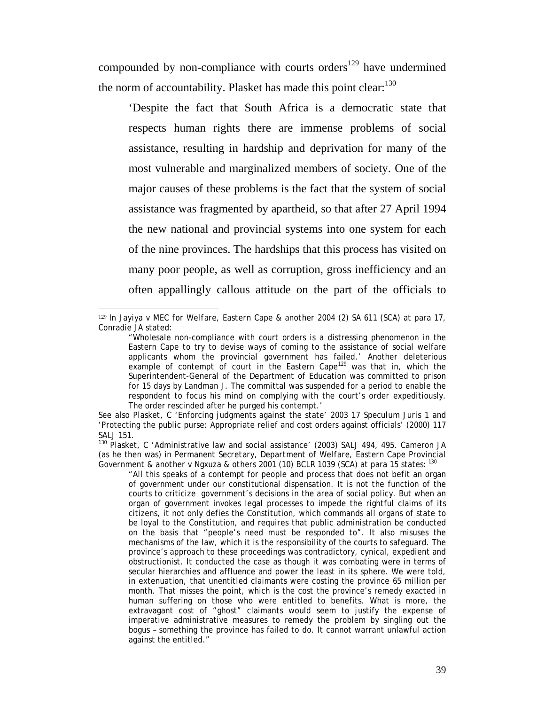compounded by non-compliance with courts orders<sup>129</sup> have undermined the norm of accountability. Plasket has made this point clear:  $130$ 

'Despite the fact that South Africa is a democratic state that respects human rights there are immense problems of social assistance, resulting in hardship and deprivation for many of the most vulnerable and marginalized members of society. One of the major causes of these problems is the fact that the system of social assistance was fragmented by apartheid, so that after 27 April 1994 the new national and provincial systems into one system for each of the nine provinces. The hardships that this process has visited on many poor people, as well as corruption, gross inefficiency and an often appallingly callous attitude on the part of the officials to

 $\overline{a}$ 

(as he then was) in *Permanent Secretary, Department of Welfare, Eastern Cape Provincial Government & another v Ngxuza & others* 2001 (10) BCLR 1039 (SCA) at para 15 states: <sup>130</sup>

<sup>&</sup>lt;sup>129</sup> In *Jayiya v MEC for Welfare, Eastern Cape & another* 2004 (2) SA 611 (SCA) at para 17, Conradie JA stated:

<sup>&</sup>quot;Wholesale non-compliance with court orders is a distressing phenomenon in the Eastern Cape to try to devise ways of coming to the assistance of social welfare applicants whom the provincial government has failed.' Another deleterious example of contempt of court in the Eastern Cape<sup>129</sup> was that in, which the Superintendent-General of the Department of Education was committed to prison for 15 days by Landman J. The committal was suspended for a period to enable the respondent to focus his mind on complying with the court's order expeditiously. The order rescinded after he purged his contempt.'

See also Plasket, C 'Enforcing judgments against the state' 2003 17 *Speculum Juris* 1 and 'Protecting the public purse: Appropriate relief and cost orders against officials' (2000) 117 *SALJ* 151. 130 Plasket, C 'Administrative law and social assistance' (2003) *SALJ* 494, 495. Cameron JA

<sup>&</sup>quot;All this speaks of a contempt for people and process that does not befit an organ of government under our constitutional dispensation. It is not the function of the courts to criticize government's decisions in the area of social policy. But when an organ of government invokes legal processes to impede the rightful claims of its citizens, it not only defies the Constitution, which commands all organs of state to be loyal to the Constitution, and requires that public administration be conducted on the basis that "people's need must be responded to". It also misuses the mechanisms of the law, which it is the responsibility of the courts to safeguard. The province's approach to these proceedings was contradictory, cynical, expedient and obstructionist. It conducted the case as though it was combating were in terms of secular hierarchies and affluence and power the least in its sphere. We were told, in extenuation, that unentitled claimants were costing the province 65 million per month. That misses the point, which is the cost the province's remedy exacted in human suffering on those who were entitled to benefits. What is more, the extravagant cost of "ghost" claimants would seem to justify the expense of imperative administrative measures to remedy the problem by singling out the bogus – something the province has failed to do. It cannot warrant unlawful action against the entitled."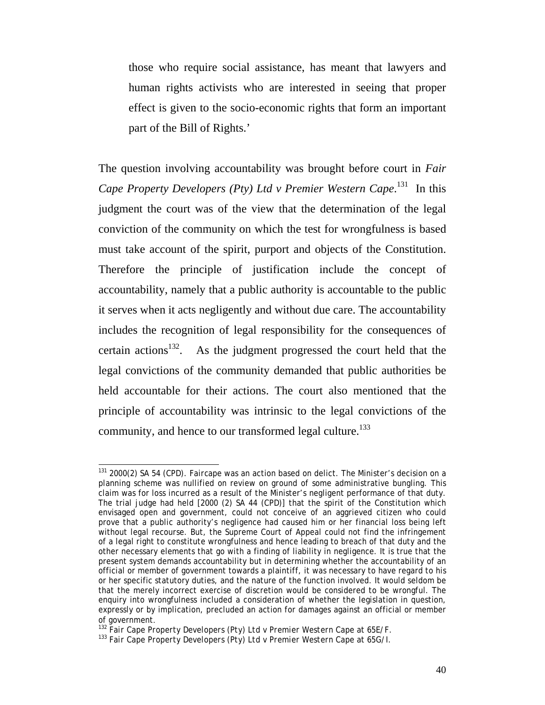those who require social assistance, has meant that lawyers and human rights activists who are interested in seeing that proper effect is given to the socio-economic rights that form an important part of the Bill of Rights.'

The question involving accountability was brought before court in *Fair Cape Property Developers (Pty) Ltd v Premier Western Cape*. 131 In this judgment the court was of the view that the determination of the legal conviction of the community on which the test for wrongfulness is based must take account of the spirit, purport and objects of the Constitution. Therefore the principle of justification include the concept of accountability, namely that a public authority is accountable to the public it serves when it acts negligently and without due care. The accountability includes the recognition of legal responsibility for the consequences of certain actions<sup>132</sup>. As the judgment progressed the court held that the legal convictions of the community demanded that public authorities be held accountable for their actions. The court also mentioned that the principle of accountability was intrinsic to the legal convictions of the community, and hence to our transformed legal culture.<sup>133</sup>

 $\overline{a}$ 131 2000(2) SA 54 (CPD). *Faircape* was an action based on delict. The Minister's decision on a planning scheme was nullified on review on ground of some administrative bungling. This claim was for loss incurred as a result of the Minister's negligent performance of that duty. The trial judge had held [2000 (2) SA 44 (CPD)] that the spirit of the Constitution which envisaged open and government, could not conceive of an aggrieved citizen who could prove that a public authority's negligence had caused him or her financial loss being left without legal recourse. But, the Supreme Court of Appeal could not find the infringement of a legal right to constitute wrongfulness and hence leading to breach of that duty and the other necessary elements that go with a finding of liability in negligence. It is true that the present system demands accountability but in determining whether the accountability of an official or member of government towards a plaintiff, it was necessary to have regard to his or her specific statutory duties, and the nature of the function involved. It would seldom be that the merely incorrect exercise of discretion would be considered to be wrongful. The enquiry into wrongfulness included a consideration of whether the legislation in question, expressly or by implication, precluded an action for damages against an official or member

of government. <sup>132</sup> *Fair Cape Property Developers (Pty) Ltd v Premier Western Cape* at 65E/F. 133 *Fair Cape Property Developers (Pty) Ltd v Premier Western Cape* at 65G/I.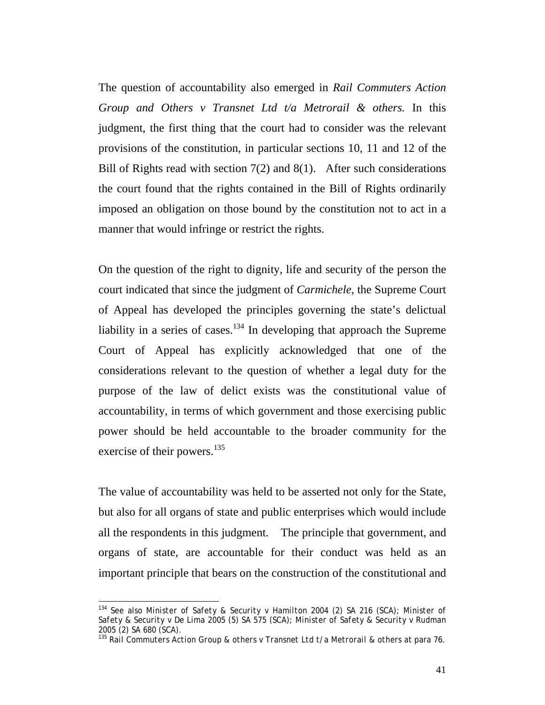The question of accountability also emerged in *Rail Commuters Action Group and Others v Transnet Ltd t/a Metrorail & others.* In this judgment, the first thing that the court had to consider was the relevant provisions of the constitution, in particular sections 10, 11 and 12 of the Bill of Rights read with section  $7(2)$  and  $8(1)$ . After such considerations the court found that the rights contained in the Bill of Rights ordinarily imposed an obligation on those bound by the constitution not to act in a manner that would infringe or restrict the rights.

On the question of the right to dignity, life and security of the person the court indicated that since the judgment of *Carmichele*, the Supreme Court of Appeal has developed the principles governing the state's delictual liability in a series of cases.<sup>134</sup> In developing that approach the Supreme Court of Appeal has explicitly acknowledged that one of the considerations relevant to the question of whether a legal duty for the purpose of the law of delict exists was the constitutional value of accountability, in terms of which government and those exercising public power should be held accountable to the broader community for the exercise of their powers.<sup>135</sup>

The value of accountability was held to be asserted not only for the State, but also for all organs of state and public enterprises which would include all the respondents in this judgment. The principle that government, and organs of state, are accountable for their conduct was held as an important principle that bears on the construction of the constitutional and

 $\overline{a}$ 

<sup>134</sup> See also *Minister of Safety & Security v Hamilton* 2004 (2) SA 216 (SCA); *Minister of Safety & Security v De Lima* 2005 (5) SA 575 (SCA); *Minister of Safety & Security v Rudman*  2005 (2) SA 680 (SCA).

<sup>135</sup> *Rail Commuters Action Group & others v Transnet Ltd t/a Metrorail & others* at para 76.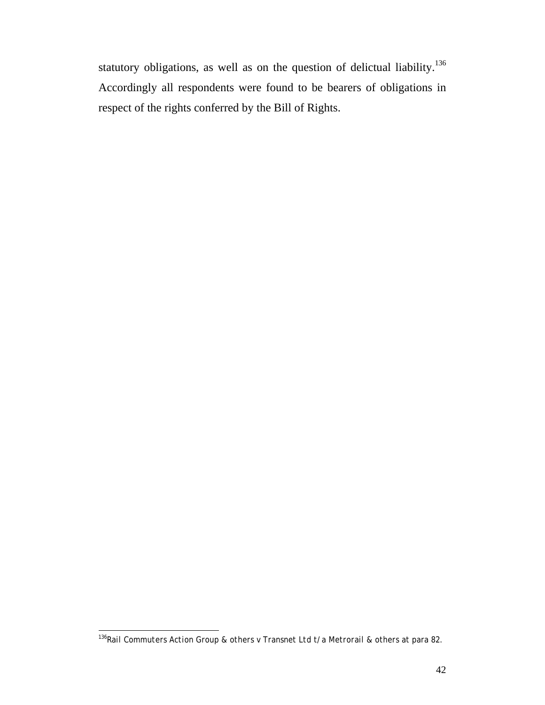statutory obligations, as well as on the question of delictual liability.<sup>136</sup> Accordingly all respondents were found to be bearers of obligations in respect of the rights conferred by the Bill of Rights.

 $\overline{\phantom{a}}$ <sup>136</sup>*Rail Commuters Action Group & others v Transnet Ltd t/a Metrorail & others* at para 82.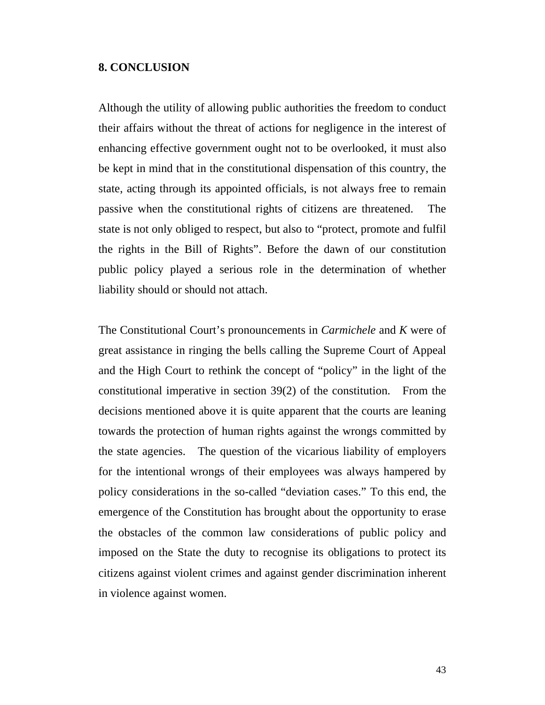#### **8. CONCLUSION**

Although the utility of allowing public authorities the freedom to conduct their affairs without the threat of actions for negligence in the interest of enhancing effective government ought not to be overlooked, it must also be kept in mind that in the constitutional dispensation of this country, the state, acting through its appointed officials, is not always free to remain passive when the constitutional rights of citizens are threatened. The state is not only obliged to respect, but also to "protect, promote and fulfil the rights in the Bill of Rights". Before the dawn of our constitution public policy played a serious role in the determination of whether liability should or should not attach.

The Constitutional Court's pronouncements in *Carmichele* and *K* were of great assistance in ringing the bells calling the Supreme Court of Appeal and the High Court to rethink the concept of "policy" in the light of the constitutional imperative in section 39(2) of the constitution. From the decisions mentioned above it is quite apparent that the courts are leaning towards the protection of human rights against the wrongs committed by the state agencies. The question of the vicarious liability of employers for the intentional wrongs of their employees was always hampered by policy considerations in the so-called "deviation cases." To this end, the emergence of the Constitution has brought about the opportunity to erase the obstacles of the common law considerations of public policy and imposed on the State the duty to recognise its obligations to protect its citizens against violent crimes and against gender discrimination inherent in violence against women.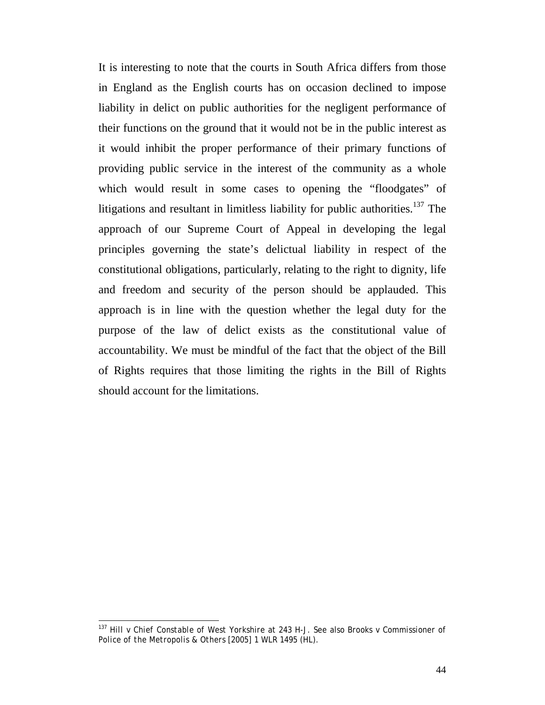It is interesting to note that the courts in South Africa differs from those in England as the English courts has on occasion declined to impose liability in delict on public authorities for the negligent performance of their functions on the ground that it would not be in the public interest as it would inhibit the proper performance of their primary functions of providing public service in the interest of the community as a whole which would result in some cases to opening the "floodgates" of litigations and resultant in limitless liability for public authorities.<sup>137</sup> The approach of our Supreme Court of Appeal in developing the legal principles governing the state's delictual liability in respect of the constitutional obligations, particularly, relating to the right to dignity, life and freedom and security of the person should be applauded. This approach is in line with the question whether the legal duty for the purpose of the law of delict exists as the constitutional value of accountability. We must be mindful of the fact that the object of the Bill of Rights requires that those limiting the rights in the Bill of Rights should account for the limitations.

 $\overline{\phantom{a}}$ 

<sup>137</sup> *Hill v Chief Constable of West Yorkshire* at 243 H-J. See also *Brooks v Commissioner of Police of the Metropolis & Others* [2005] 1 WLR 1495 (HL).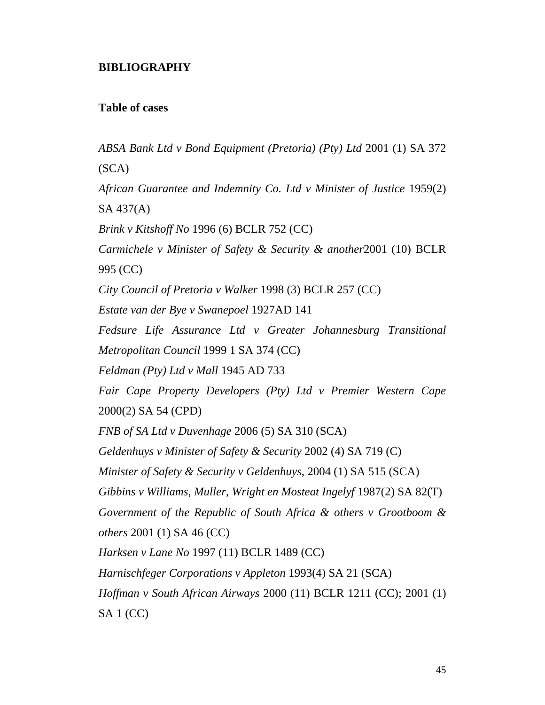# **BIBLIOGRAPHY**

#### **Table of cases**

*ABSA Bank Ltd v Bond Equipment (Pretoria) (Pty) Ltd* 2001 (1) SA 372 (SCA) *African Guarantee and Indemnity Co. Ltd v Minister of Justice* 1959(2) SA 437(A) *Brink v Kitshoff No* 1996 (6) BCLR 752 (CC) *Carmichele v Minister of Safety & Security & another*2001 (10) BCLR 995 (CC) *City Council of Pretoria v Walker* 1998 (3) BCLR 257 (CC) *Estate van der Bye v Swanepoel* 1927AD 141 *Fedsure Life Assurance Ltd v Greater Johannesburg Transitional Metropolitan Council* 1999 1 SA 374 (CC) *Feldman (Pty) Ltd v Mall* 1945 AD 733 *Fair Cape Property Developers (Pty) Ltd v Premier Western Cape*  2000(2) SA 54 (CPD) *FNB of SA Ltd v Duvenhage* 2006 (5) SA 310 (SCA) *Geldenhuys v Minister of Safety & Security* 2002 (4) SA 719 (C) *Minister of Safety & Security v Geldenhuys*, 2004 (1) SA 515 (SCA) *Gibbins v Williams, Muller, Wright en Mosteat Ingelyf* 1987(2) SA 82(T) *Government of the Republic of South Africa & others v Grootboom & others* 2001 (1) SA 46 (CC) *Harksen v Lane No* 1997 (11) BCLR 1489 (CC) *Harnischfeger Corporations v Appleton* 1993(4) SA 21 (SCA) *Hoffman v South African Airways* 2000 (11) BCLR 1211 (CC); 2001 (1) SA 1 (CC)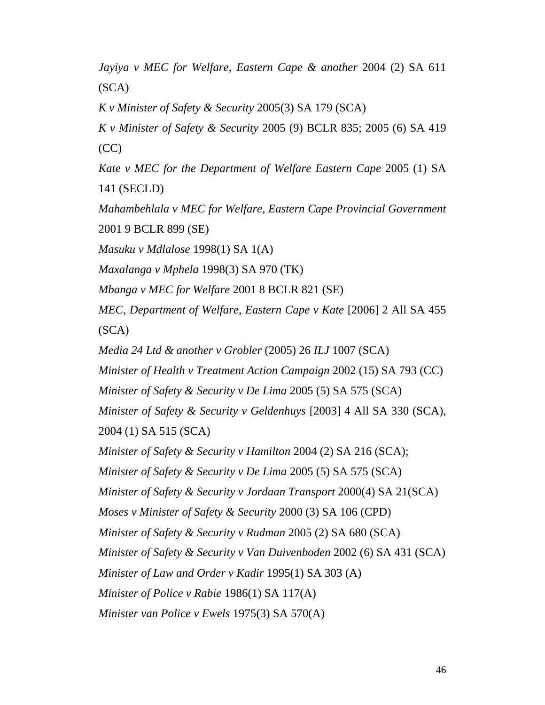*Jayiya v MEC for Welfare, Eastern Cape & another* 2004 (2) SA 611 (SCA)

*K v Minister of Safety & Security* 2005(3) SA 179 (SCA)

*K v Minister of Safety & Security* 2005 (9) BCLR 835; 2005 (6) SA 419  $(CC)$ 

*Kate v MEC for the Department of Welfare Eastern Cape* 2005 (1) SA 141 (SECLD)

*Mahambehlala v MEC for Welfare, Eastern Cape Provincial Government*  2001 9 BCLR 899 (SE)

*Masuku v Mdlalose* 1998(1) SA 1(A)

*Maxalanga v Mphela* 1998(3) SA 970 (TK)

*Mbanga v MEC for Welfare* 2001 8 BCLR 821 (SE)

*MEC, Department of Welfare, Eastern Cape v Kate* [2006] 2 All SA 455 (SCA)

*Media 24 Ltd & another v Grobler* (2005) 26 *ILJ* 1007 (SCA)

*Minister of Health v Treatment Action Campaign* 2002 (15) SA 793 (CC)

*Minister of Safety & Security v De Lima* 2005 (5) SA 575 (SCA)

*Minister of Safety & Security v Geldenhuys* [2003] 4 All SA 330 (SCA),

2004 (1) SA 515 (SCA)

*Minister of Safety & Security v Hamilton* 2004 (2) SA 216 (SCA);

*Minister of Safety & Security v De Lima* 2005 (5) SA 575 (SCA)

*Minister of Safety & Security v Jordaan Transport* 2000(4) SA 21(SCA)

*Moses v Minister of Safety & Security* 2000 (3) SA 106 (CPD)

*Minister of Safety & Security v Rudman* 2005 (2) SA 680 (SCA)

*Minister of Safety & Security v Van Duivenboden* 2002 (6) SA 431 (SCA)

*Minister of Law and Order v Kadir* 1995(1) SA 303 (A)

*Minister of Police v Rabie* 1986(1) SA 117(A)

*Minister van Police v Ewels* 1975(3) SA 570(A)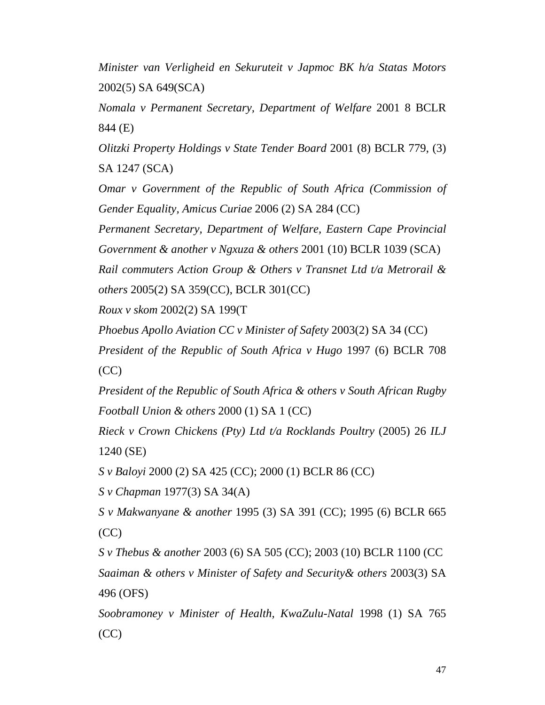*Minister van Verligheid en Sekuruteit v Japmoc BK h/a Statas Motors* 2002(5) SA 649(SCA)

*Nomala v Permanent Secretary, Department of Welfare* 2001 8 BCLR 844 (E)

*Olitzki Property Holdings v State Tender Board* 2001 (8) BCLR 779, (3) SA 1247 (SCA)

*Omar v Government of the Republic of South Africa (Commission of Gender Equality, Amicus Curiae* 2006 (2) SA 284 (CC)

*Permanent Secretary, Department of Welfare, Eastern Cape Provincial Government & another v Ngxuza & others* 2001 (10) BCLR 1039 (SCA)

*Rail commuters Action Group & Others v Transnet Ltd t/a Metrorail & others* 2005(2) SA 359(CC), BCLR 301(CC)

*Roux v skom* 2002(2) SA 199(T

*Phoebus Apollo Aviation CC v Minister of Safety* 2003(2) SA 34 (CC)

*President of the Republic of South Africa v Hugo* 1997 (6) BCLR 708 (CC)

*President of the Republic of South Africa & others v South African Rugby Football Union & others* 2000 (1) SA 1 (CC)

*Rieck v Crown Chickens (Pty) Ltd t/a Rocklands Poultry* (2005) 26 *ILJ* 1240 (SE)

*S v Baloyi* 2000 (2) SA 425 (CC); 2000 (1) BCLR 86 (CC)

*S v Chapman* 1977(3) SA 34(A)

*S v Makwanyane & another* 1995 (3) SA 391 (CC); 1995 (6) BCLR 665  $(CC)$ 

*S v Thebus & another* 2003 (6) SA 505 (CC); 2003 (10) BCLR 1100 (CC *Saaiman & others v Minister of Safety and Security& others* 2003(3) SA 496 (OFS)

*Soobramoney v Minister of Health, KwaZulu-Natal* 1998 (1) SA 765  $(CC)$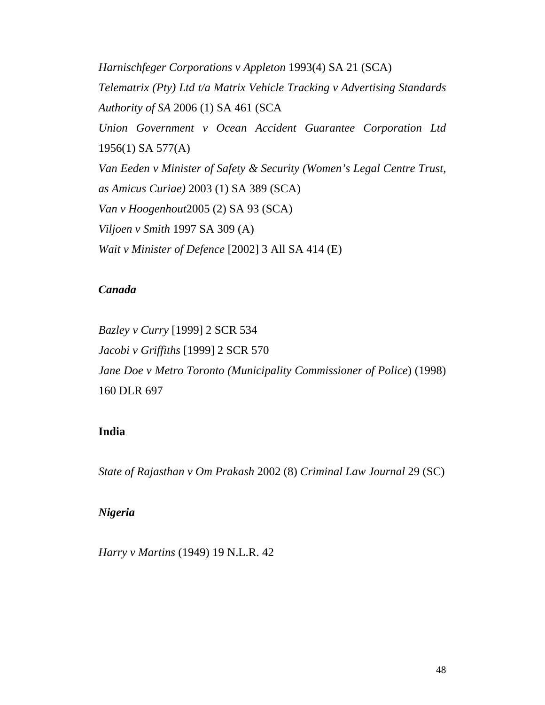*Harnischfeger Corporations v Appleton* 1993(4) SA 21 (SCA) *Telematrix (Pty) Ltd t/a Matrix Vehicle Tracking v Advertising Standards Authority of SA* 2006 (1) SA 461 (SCA *Union Government v Ocean Accident Guarantee Corporation Ltd* 1956(1) SA 577(A) *Van Eeden v Minister of Safety & Security (Women's Legal Centre Trust, as Amicus Curiae)* 2003 (1) SA 389 (SCA) *Van v Hoogenhout*2005 (2) SA 93 (SCA) *Viljoen v Smith* 1997 SA 309 (A) *Wait v Minister of Defence* [2002] 3 All SA 414 (E)

# *Canada*

*Bazley v Curry* [1999] 2 SCR 534 *Jacobi v Griffiths* [1999] 2 SCR 570 *Jane Doe v Metro Toronto (Municipality Commissioner of Police*) (1998) 160 DLR 697

### **India**

*State of Rajasthan v Om Prakash* 2002 (8) *Criminal Law Journal* 29 (SC)

### *Nigeria*

*Harry v Martins* (1949) 19 N.L.R. 42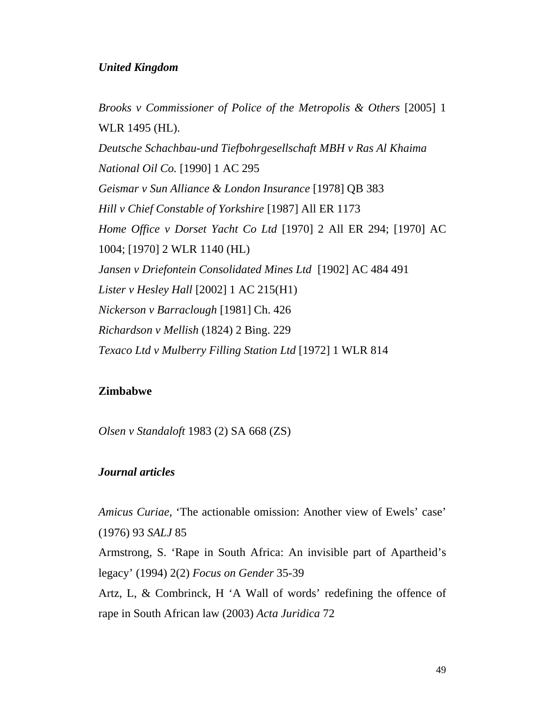### *United Kingdom*

*Brooks v Commissioner of Police of the Metropolis & Others* [2005] 1 WLR 1495 (HL). *Deutsche Schachbau-und Tiefbohrgesellschaft MBH v Ras Al Khaima National Oil Co.* [1990] 1 AC 295 *Geismar v Sun Alliance & London Insurance* [1978] QB 383 *Hill v Chief Constable of Yorkshire* [1987] All ER 1173 *Home Office v Dorset Yacht Co Ltd* [1970] 2 All ER 294; [1970] AC 1004; [1970] 2 WLR 1140 (HL) *Jansen v Driefontein Consolidated Mines Ltd* [1902] AC 484 491 *Lister v Hesley Hall* [2002] 1 AC 215(H1) *Nickerson v Barraclough* [1981] Ch. 426 *Richardson v Mellish* (1824) 2 Bing. 229 *Texaco Ltd v Mulberry Filling Station Ltd* [1972] 1 WLR 814

### **Zimbabwe**

*Olsen v Standaloft* 1983 (2) SA 668 (ZS)

### *Journal articles*

*Amicus Curiae*, 'The actionable omission: Another view of Ewels' case' (1976) 93 *SALJ* 85

Armstrong, S. 'Rape in South Africa: An invisible part of Apartheid's legacy' (1994) 2(2) *Focus on Gender* 35-39

Artz, L, & Combrinck, H 'A Wall of words' redefining the offence of rape in South African law (2003) *Acta Juridica* 72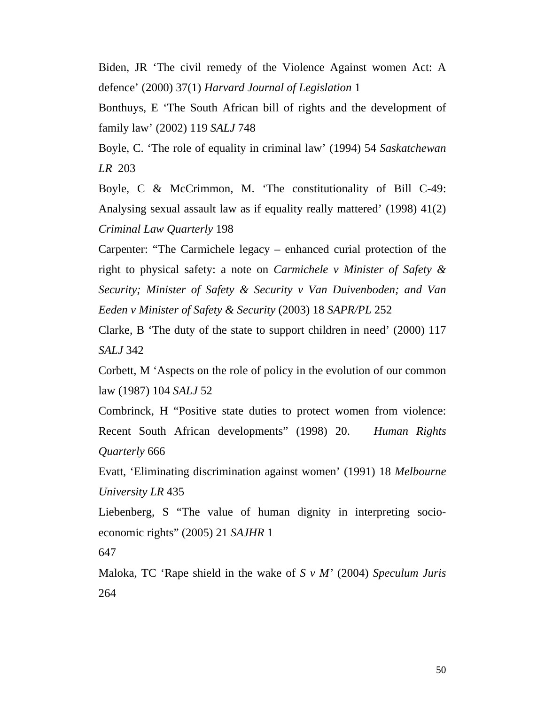Biden, JR 'The civil remedy of the Violence Against women Act: A defence' (2000) 37(1) *Harvard Journal of Legislation* 1

Bonthuys, E 'The South African bill of rights and the development of family law' (2002) 119 *SALJ* 748

Boyle, C. 'The role of equality in criminal law' (1994) 54 *Saskatchewan LR* 203

Boyle, C & McCrimmon, M. 'The constitutionality of Bill C-49: Analysing sexual assault law as if equality really mattered' (1998) 41(2) *Criminal Law Quarterly* 198

Carpenter: "The Carmichele legacy – enhanced curial protection of the right to physical safety: a note on *Carmichele v Minister of Safety & Security; Minister of Safety & Security v Van Duivenboden; and Van Eeden v Minister of Safety & Security* (2003) 18 *SAPR/PL* 252

Clarke, B 'The duty of the state to support children in need' (2000) 117 *SALJ* 342

Corbett, M 'Aspects on the role of policy in the evolution of our common law (1987) 104 *SALJ* 52

Combrinck, H "Positive state duties to protect women from violence: Recent South African developments" (1998) 20. *Human Rights Quarterly* 666

Evatt, 'Eliminating discrimination against women' (1991) 18 *Melbourne University LR* 435

Liebenberg, S "The value of human dignity in interpreting socioeconomic rights" (2005) 21 *SAJHR* 1

647

Maloka, TC 'Rape shield in the wake of *S v M'* (2004) *Speculum Juris* 264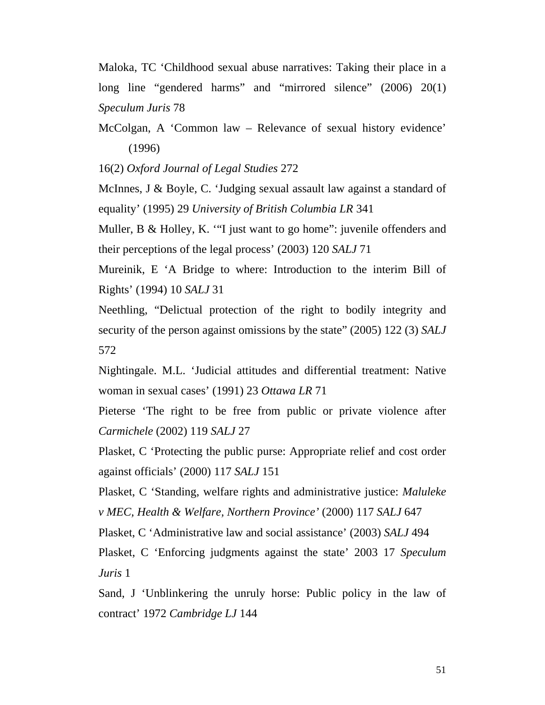Maloka, TC 'Childhood sexual abuse narratives: Taking their place in a long line "gendered harms" and "mirrored silence" (2006) 20(1) *Speculum Juris* 78

McColgan, A 'Common law – Relevance of sexual history evidence' (1996)

16(2) *Oxford Journal of Legal Studies* 272

McInnes, J & Boyle, C. 'Judging sexual assault law against a standard of equality' (1995) 29 *University of British Columbia LR* 341

Muller, B & Holley, K. "I just want to go home": juvenile offenders and their perceptions of the legal process' (2003) 120 *SALJ* 71

Mureinik, E 'A Bridge to where: Introduction to the interim Bill of Rights' (1994) 10 *SALJ* 31

Neethling, "Delictual protection of the right to bodily integrity and security of the person against omissions by the state" (2005) 122 (3) *SALJ* 572

Nightingale. M.L. 'Judicial attitudes and differential treatment: Native woman in sexual cases' (1991) 23 *Ottawa LR* 71

Pieterse 'The right to be free from public or private violence after *Carmichele* (2002) 119 *SALJ* 27

Plasket, C 'Protecting the public purse: Appropriate relief and cost order against officials' (2000) 117 *SALJ* 151

Plasket, C 'Standing, welfare rights and administrative justice: *Maluleke v MEC, Health & Welfare, Northern Province'* (2000) 117 *SALJ* 647

Plasket, C 'Administrative law and social assistance' (2003) *SALJ* 494

Plasket, C 'Enforcing judgments against the state' 2003 17 *Speculum Juris* 1

Sand, J 'Unblinkering the unruly horse: Public policy in the law of contract' 1972 *Cambridge LJ* 144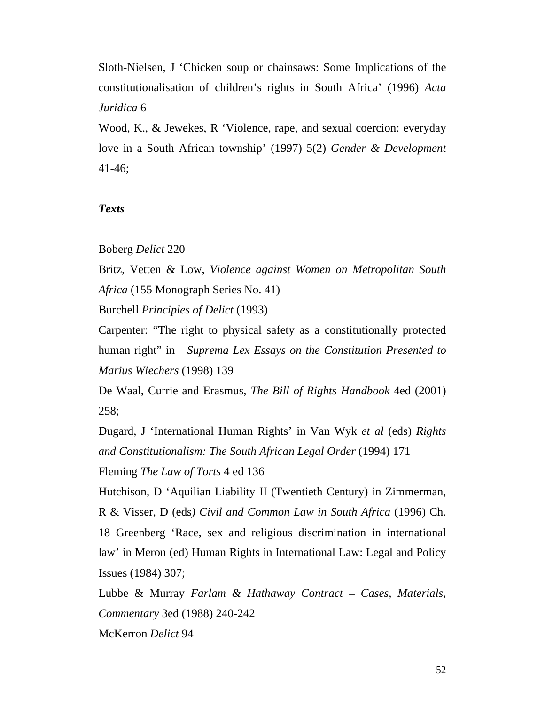Sloth-Nielsen, J 'Chicken soup or chainsaws: Some Implications of the constitutionalisation of children's rights in South Africa' (1996) *Acta Juridica* 6

Wood, K., & Jewekes, R 'Violence, rape, and sexual coercion: everyday love in a South African township' (1997) 5(2) *Gender & Development* 41-46;

#### *Texts*

#### Boberg *Delict* 220

Britz, Vetten & Low, *Violence against Women on Metropolitan South Africa* (155 Monograph Series No. 41)

Burchell *Principles of Delict* (1993)

Carpenter: "The right to physical safety as a constitutionally protected human right" in *Suprema Lex Essays on the Constitution Presented to Marius Wiechers* (1998) 139

De Waal, Currie and Erasmus, *The Bill of Rights Handbook* 4ed (2001) 258;

Dugard, J 'International Human Rights' in Van Wyk *et al* (eds) *Rights and Constitutionalism: The South African Legal Order* (1994) 171

Fleming *The Law of Torts* 4 ed 136

Hutchison, D 'Aquilian Liability II (Twentieth Century) in Zimmerman, R & Visser, D (eds*) Civil and Common Law in South Africa* (1996) Ch. 18 Greenberg 'Race, sex and religious discrimination in international law' in Meron (ed) Human Rights in International Law: Legal and Policy Issues (1984) 307;

Lubbe & Murray *Farlam & Hathaway Contract – Cases, Materials, Commentary* 3ed (1988) 240-242

McKerron *Delict* 94